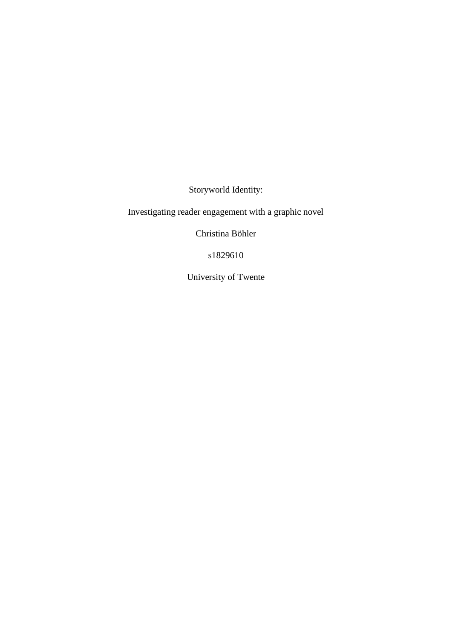Storyworld Identity:

Investigating reader engagement with a graphic novel

Christina Böhler

s1829610

University of Twente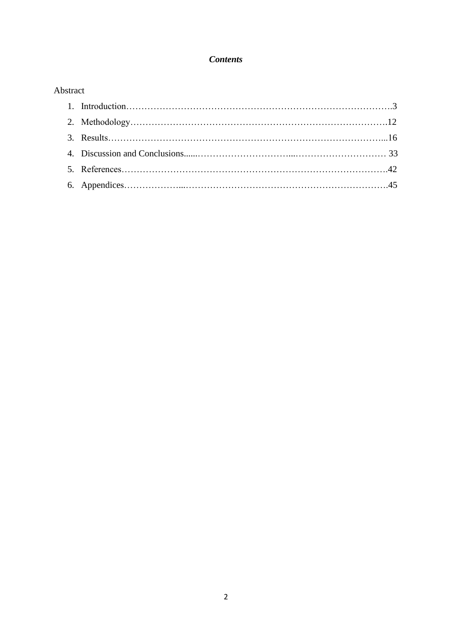# *Contents*

# Abstract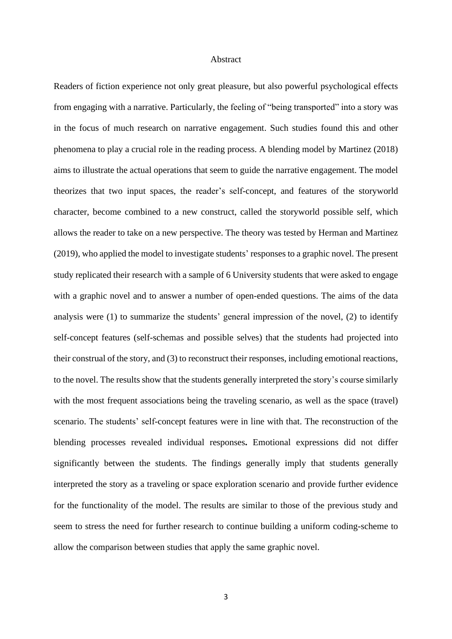#### Abstract

Readers of fiction experience not only great pleasure, but also powerful psychological effects from engaging with a narrative. Particularly, the feeling of "being transported" into a story was in the focus of much research on narrative engagement. Such studies found this and other phenomena to play a crucial role in the reading process. A blending model by Martinez (2018) aims to illustrate the actual operations that seem to guide the narrative engagement. The model theorizes that two input spaces, the reader's self-concept, and features of the storyworld character, become combined to a new construct, called the storyworld possible self, which allows the reader to take on a new perspective. The theory was tested by Herman and Martinez (2019), who applied the model to investigate students' responses to a graphic novel. The present study replicated their research with a sample of 6 University students that were asked to engage with a graphic novel and to answer a number of open-ended questions. The aims of the data analysis were (1) to summarize the students' general impression of the novel, (2) to identify self-concept features (self-schemas and possible selves) that the students had projected into their construal of the story, and (3) to reconstruct their responses, including emotional reactions, to the novel. The results show that the students generally interpreted the story's course similarly with the most frequent associations being the traveling scenario, as well as the space (travel) scenario. The students' self-concept features were in line with that. The reconstruction of the blending processes revealed individual responses**.** Emotional expressions did not differ significantly between the students. The findings generally imply that students generally interpreted the story as a traveling or space exploration scenario and provide further evidence for the functionality of the model. The results are similar to those of the previous study and seem to stress the need for further research to continue building a uniform coding-scheme to allow the comparison between studies that apply the same graphic novel.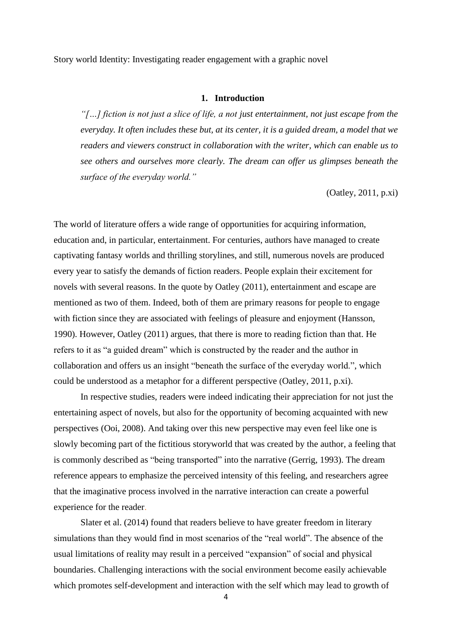Story world Identity: Investigating reader engagement with a graphic novel

#### **1. Introduction**

*"[…] fiction is not just a slice of life, a not just entertainment, not just escape from the everyday. It often includes these but, at its center, it is a guided dream, a model that we readers and viewers construct in collaboration with the writer, which can enable us to see others and ourselves more clearly. The dream can offer us glimpses beneath the surface of the everyday world."* 

(Oatley, 2011, p.xi)

The world of literature offers a wide range of opportunities for acquiring information, education and, in particular, entertainment. For centuries, authors have managed to create captivating fantasy worlds and thrilling storylines, and still, numerous novels are produced every year to satisfy the demands of fiction readers. People explain their excitement for novels with several reasons. In the quote by Oatley (2011), entertainment and escape are mentioned as two of them. Indeed, both of them are primary reasons for people to engage with fiction since they are associated with feelings of pleasure and enjoyment (Hansson, 1990). However, Oatley (2011) argues, that there is more to reading fiction than that. He refers to it as "a guided dream" which is constructed by the reader and the author in collaboration and offers us an insight "beneath the surface of the everyday world.", which could be understood as a metaphor for a different perspective (Oatley, 2011, p.xi).

In respective studies, readers were indeed indicating their appreciation for not just the entertaining aspect of novels, but also for the opportunity of becoming acquainted with new perspectives (Ooi, 2008). And taking over this new perspective may even feel like one is slowly becoming part of the fictitious storyworld that was created by the author, a feeling that is commonly described as "being transported" into the narrative (Gerrig, 1993). The dream reference appears to emphasize the perceived intensity of this feeling, and researchers agree that the imaginative process involved in the narrative interaction can create a powerful experience for the reader.

Slater et al. (2014) found that readers believe to have greater freedom in literary simulations than they would find in most scenarios of the "real world". The absence of the usual limitations of reality may result in a perceived "expansion" of social and physical boundaries. Challenging interactions with the social environment become easily achievable which promotes self-development and interaction with the self which may lead to growth of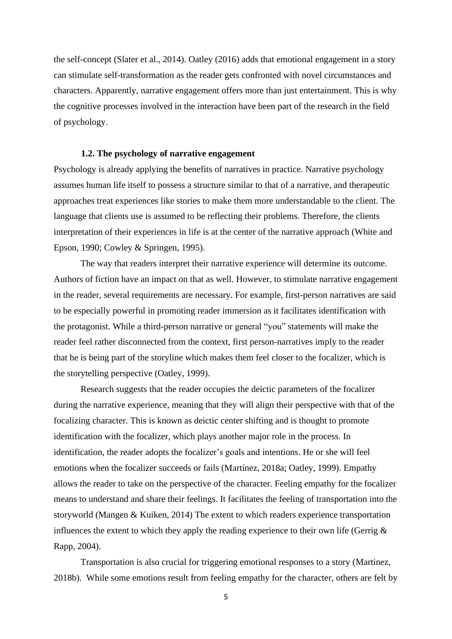the self-concept (Slater et al., 2014). Oatley (2016) adds that emotional engagement in a story can stimulate self-transformation as the reader gets confronted with novel circumstances and characters. Apparently, narrative engagement offers more than just entertainment. This is why the cognitive processes involved in the interaction have been part of the research in the field of psychology.

#### **1.2. The psychology of narrative engagement**

Psychology is already applying the benefits of narratives in practice. Narrative psychology assumes human life itself to possess a structure similar to that of a narrative, and therapeutic approaches treat experiences like stories to make them more understandable to the client. The language that clients use is assumed to be reflecting their problems. Therefore, the clients interpretation of their experiences in life is at the center of the narrative approach (White and Epson, 1990; Cowley & Springen, 1995).

The way that readers interpret their narrative experience will determine its outcome. Authors of fiction have an impact on that as well. However, to stimulate narrative engagement in the reader, several requirements are necessary. For example, first-person narratives are said to be especially powerful in promoting reader immersion as it facilitates identification with the protagonist. While a third-person narrative or general "you" statements will make the reader feel rather disconnected from the context, first person-narratives imply to the reader that he is being part of the storyline which makes them feel closer to the focalizer, which is the storytelling perspective (Oatley, 1999).

Research suggests that the reader occupies the deictic parameters of the focalizer during the narrative experience, meaning that they will align their perspective with that of the focalizing character. This is known as deictic center shifting and is thought to promote identification with the focalizer, which plays another major role in the process. In identification, the reader adopts the focalizer's goals and intentions. He or she will feel emotions when the focalizer succeeds or fails (Martínez, 2018a; Oatley, 1999). Empathy allows the reader to take on the perspective of the character. Feeling empathy for the focalizer means to understand and share their feelings. It facilitates the feeling of transportation into the storyworld (Mangen & Kuiken, 2014) The extent to which readers experience transportation influences the extent to which they apply the reading experience to their own life (Gerrig  $\&$ Rapp, 2004).

Transportation is also crucial for triggering emotional responses to a story (Martinez, 2018b). While some emotions result from feeling empathy for the character, others are felt by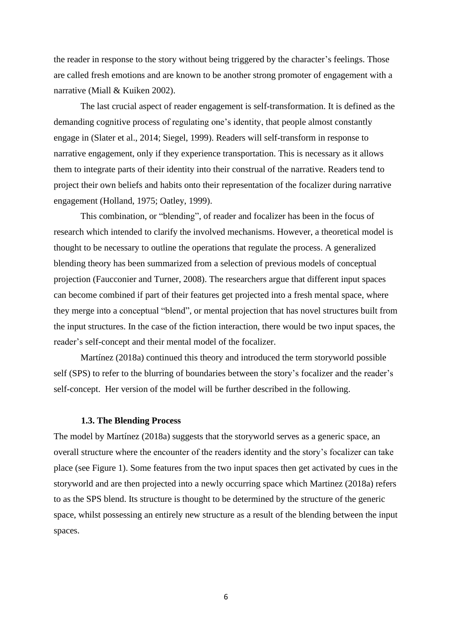the reader in response to the story without being triggered by the character's feelings. Those are called fresh emotions and are known to be another strong promoter of engagement with a narrative (Miall & Kuiken 2002).

The last crucial aspect of reader engagement is self-transformation. It is defined as the demanding cognitive process of regulating one's identity, that people almost constantly engage in (Slater et al., 2014; Siegel, 1999). Readers will self-transform in response to narrative engagement, only if they experience transportation. This is necessary as it allows them to integrate parts of their identity into their construal of the narrative. Readers tend to project their own beliefs and habits onto their representation of the focalizer during narrative engagement (Holland, 1975; Oatley, 1999).

This combination, or "blending", of reader and focalizer has been in the focus of research which intended to clarify the involved mechanisms. However, a theoretical model is thought to be necessary to outline the operations that regulate the process. A generalized blending theory has been summarized from a selection of previous models of conceptual projection (Faucconier and Turner, 2008). The researchers argue that different input spaces can become combined if part of their features get projected into a fresh mental space, where they merge into a conceptual "blend", or mental projection that has novel structures built from the input structures. In the case of the fiction interaction, there would be two input spaces, the reader's self-concept and their mental model of the focalizer.

Martínez (2018a) continued this theory and introduced the term storyworld possible self (SPS) to refer to the blurring of boundaries between the story's focalizer and the reader's self-concept. Her version of the model will be further described in the following.

#### **1.3. The Blending Process**

The model by Martínez (2018a) suggests that the storyworld serves as a generic space, an overall structure where the encounter of the readers identity and the story's focalizer can take place (see Figure 1). Some features from the two input spaces then get activated by cues in the storyworld and are then projected into a newly occurring space which Martinez (2018a) refers to as the SPS blend. Its structure is thought to be determined by the structure of the generic space, whilst possessing an entirely new structure as a result of the blending between the input spaces.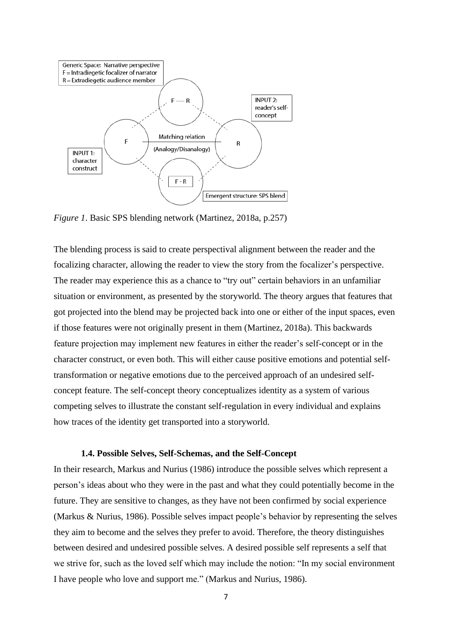

*Figure 1*. Basic SPS blending network (Martinez, 2018a, p.257)

The blending process is said to create perspectival alignment between the reader and the focalizing character, allowing the reader to view the story from the focalizer's perspective. The reader may experience this as a chance to "try out" certain behaviors in an unfamiliar situation or environment, as presented by the storyworld. The theory argues that features that got projected into the blend may be projected back into one or either of the input spaces, even if those features were not originally present in them (Martinez, 2018a). This backwards feature projection may implement new features in either the reader's self-concept or in the character construct, or even both. This will either cause positive emotions and potential selftransformation or negative emotions due to the perceived approach of an undesired selfconcept feature. The self-concept theory conceptualizes identity as a system of various competing selves to illustrate the constant self-regulation in every individual and explains how traces of the identity get transported into a storyworld.

### **1.4. Possible Selves, Self-Schemas, and the Self-Concept**

In their research, Markus and Nurius (1986) introduce the possible selves which represent a person's ideas about who they were in the past and what they could potentially become in the future. They are sensitive to changes, as they have not been confirmed by social experience (Markus & Nurius, 1986). Possible selves impact people's behavior by representing the selves they aim to become and the selves they prefer to avoid. Therefore, the theory distinguishes between desired and undesired possible selves. A desired possible self represents a self that we strive for, such as the loved self which may include the notion: "In my social environment I have people who love and support me." (Markus and Nurius, 1986).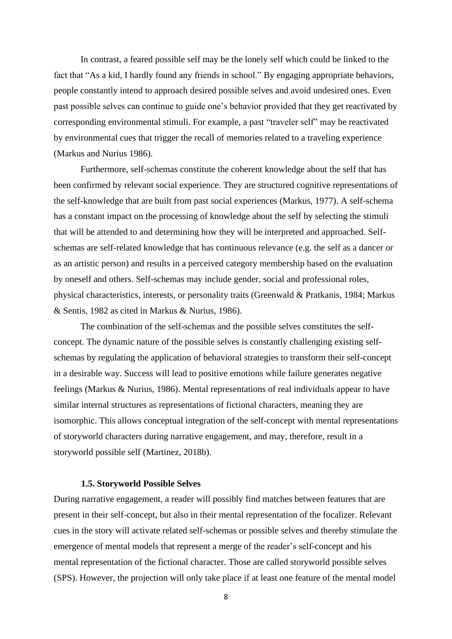In contrast, a feared possible self may be the lonely self which could be linked to the fact that "As a kid, I hardly found any friends in school." By engaging appropriate behaviors, people constantly intend to approach desired possible selves and avoid undesired ones. Even past possible selves can continue to guide one's behavior provided that they get reactivated by corresponding environmental stimuli. For example, a past "traveler self" may be reactivated by environmental cues that trigger the recall of memories related to a traveling experience (Markus and Nurius 1986).

Furthermore, self-schemas constitute the coherent knowledge about the self that has been confirmed by relevant social experience. They are structured cognitive representations of the self-knowledge that are built from past social experiences (Markus, 1977). A self-schema has a constant impact on the processing of knowledge about the self by selecting the stimuli that will be attended to and determining how they will be interpreted and approached. Selfschemas are self-related knowledge that has continuous relevance (e.g. the self as a dancer or as an artistic person) and results in a perceived category membership based on the evaluation by oneself and others. Self-schemas may include gender, social and professional roles, physical characteristics, interests, or personality traits (Greenwald & Pratkanis, 1984; Markus & Sentis, 1982 as cited in Markus & Nurius, 1986).

The combination of the self-schemas and the possible selves constitutes the selfconcept. The dynamic nature of the possible selves is constantly challenging existing selfschemas by regulating the application of behavioral strategies to transform their self-concept in a desirable way. Success will lead to positive emotions while failure generates negative feelings (Markus & Nurius, 1986). Mental representations of real individuals appear to have similar internal structures as representations of fictional characters, meaning they are isomorphic. This allows conceptual integration of the self-concept with mental representations of storyworld characters during narrative engagement, and may, therefore, result in a storyworld possible self (Martinez, 2018b).

#### **1.5. Storyworld Possible Selves**

During narrative engagement, a reader will possibly find matches between features that are present in their self-concept, but also in their mental representation of the focalizer. Relevant cues in the story will activate related self-schemas or possible selves and thereby stimulate the emergence of mental models that represent a merge of the reader's self-concept and his mental representation of the fictional character. Those are called storyworld possible selves (SPS). However, the projection will only take place if at least one feature of the mental model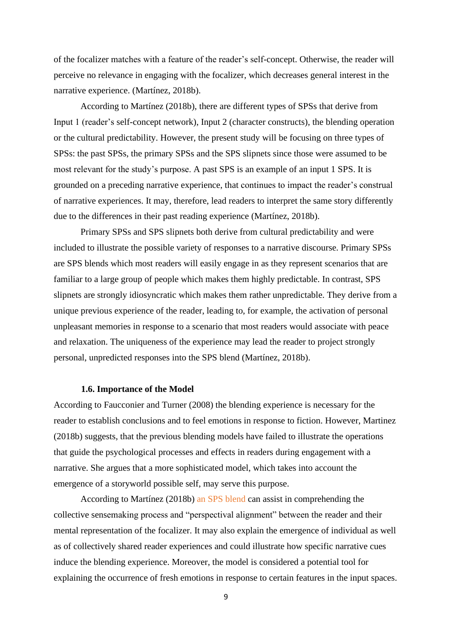of the focalizer matches with a feature of the reader's self-concept. Otherwise, the reader will perceive no relevance in engaging with the focalizer, which decreases general interest in the narrative experience. (Martínez, 2018b).

According to Martínez (2018b), there are different types of SPSs that derive from Input 1 (reader's self-concept network), Input 2 (character constructs), the blending operation or the cultural predictability. However, the present study will be focusing on three types of SPSs: the past SPSs, the primary SPSs and the SPS slipnets since those were assumed to be most relevant for the study's purpose. A past SPS is an example of an input 1 SPS. It is grounded on a preceding narrative experience, that continues to impact the reader's construal of narrative experiences. It may, therefore, lead readers to interpret the same story differently due to the differences in their past reading experience (Martínez, 2018b).

Primary SPSs and SPS slipnets both derive from cultural predictability and were included to illustrate the possible variety of responses to a narrative discourse. Primary SPSs are SPS blends which most readers will easily engage in as they represent scenarios that are familiar to a large group of people which makes them highly predictable. In contrast, SPS slipnets are strongly idiosyncratic which makes them rather unpredictable. They derive from a unique previous experience of the reader, leading to, for example, the activation of personal unpleasant memories in response to a scenario that most readers would associate with peace and relaxation. The uniqueness of the experience may lead the reader to project strongly personal, unpredicted responses into the SPS blend (Martínez, 2018b).

#### **1.6. Importance of the Model**

According to Faucconier and Turner (2008) the blending experience is necessary for the reader to establish conclusions and to feel emotions in response to fiction. However, Martinez (2018b) suggests, that the previous blending models have failed to illustrate the operations that guide the psychological processes and effects in readers during engagement with a narrative. She argues that a more sophisticated model, which takes into account the emergence of a storyworld possible self, may serve this purpose.

According to Martínez (2018b) an SPS blend can assist in comprehending the collective sensemaking process and "perspectival alignment" between the reader and their mental representation of the focalizer. It may also explain the emergence of individual as well as of collectively shared reader experiences and could illustrate how specific narrative cues induce the blending experience. Moreover, the model is considered a potential tool for explaining the occurrence of fresh emotions in response to certain features in the input spaces.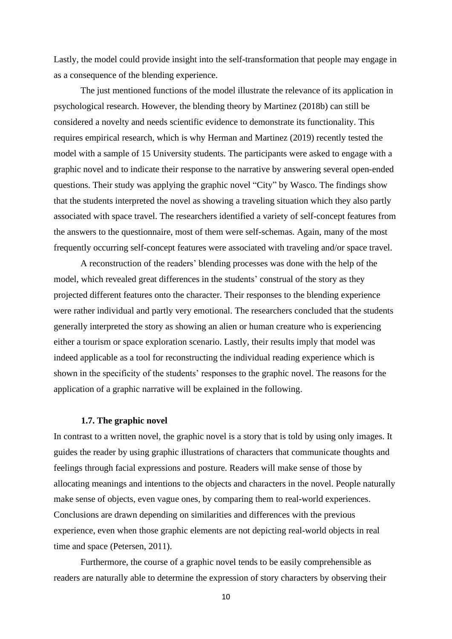Lastly, the model could provide insight into the self-transformation that people may engage in as a consequence of the blending experience.

The just mentioned functions of the model illustrate the relevance of its application in psychological research. However, the blending theory by Martinez (2018b) can still be considered a novelty and needs scientific evidence to demonstrate its functionality. This requires empirical research, which is why Herman and Martinez (2019) recently tested the model with a sample of 15 University students. The participants were asked to engage with a graphic novel and to indicate their response to the narrative by answering several open-ended questions. Their study was applying the graphic novel "City" by Wasco. The findings show that the students interpreted the novel as showing a traveling situation which they also partly associated with space travel. The researchers identified a variety of self-concept features from the answers to the questionnaire, most of them were self-schemas. Again, many of the most frequently occurring self-concept features were associated with traveling and/or space travel.

A reconstruction of the readers' blending processes was done with the help of the model, which revealed great differences in the students' construal of the story as they projected different features onto the character. Their responses to the blending experience were rather individual and partly very emotional. The researchers concluded that the students generally interpreted the story as showing an alien or human creature who is experiencing either a tourism or space exploration scenario. Lastly, their results imply that model was indeed applicable as a tool for reconstructing the individual reading experience which is shown in the specificity of the students' responses to the graphic novel. The reasons for the application of a graphic narrative will be explained in the following.

### **1.7. The graphic novel**

In contrast to a written novel, the graphic novel is a story that is told by using only images. It guides the reader by using graphic illustrations of characters that communicate thoughts and feelings through facial expressions and posture. Readers will make sense of those by allocating meanings and intentions to the objects and characters in the novel. People naturally make sense of objects, even vague ones, by comparing them to real-world experiences. Conclusions are drawn depending on similarities and differences with the previous experience, even when those graphic elements are not depicting real-world objects in real time and space (Petersen, 2011).

Furthermore, the course of a graphic novel tends to be easily comprehensible as readers are naturally able to determine the expression of story characters by observing their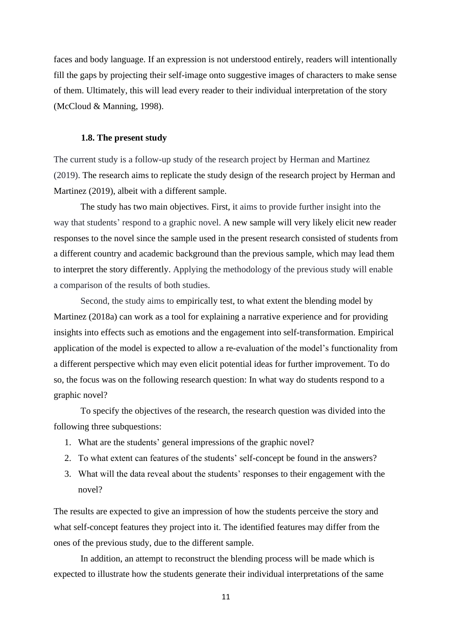faces and body language. If an expression is not understood entirely, readers will intentionally fill the gaps by projecting their self-image onto suggestive images of characters to make sense of them. Ultimately, this will lead every reader to their individual interpretation of the story (McCloud & Manning, 1998).

### **1.8. The present study**

The current study is a follow-up study of the research project by Herman and Martinez (2019). The research aims to replicate the study design of the research project by Herman and Martinez (2019), albeit with a different sample.

The study has two main objectives. First, it aims to provide further insight into the way that students' respond to a graphic novel. A new sample will very likely elicit new reader responses to the novel since the sample used in the present research consisted of students from a different country and academic background than the previous sample, which may lead them to interpret the story differently. Applying the methodology of the previous study will enable a comparison of the results of both studies.

Second, the study aims to empirically test, to what extent the blending model by Martinez (2018a) can work as a tool for explaining a narrative experience and for providing insights into effects such as emotions and the engagement into self-transformation. Empirical application of the model is expected to allow a re-evaluation of the model's functionality from a different perspective which may even elicit potential ideas for further improvement. To do so, the focus was on the following research question: In what way do students respond to a graphic novel?

To specify the objectives of the research, the research question was divided into the following three subquestions:

- 1. What are the students' general impressions of the graphic novel?
- 2. To what extent can features of the students' self-concept be found in the answers?
- 3. What will the data reveal about the students' responses to their engagement with the novel?

The results are expected to give an impression of how the students perceive the story and what self-concept features they project into it. The identified features may differ from the ones of the previous study, due to the different sample.

In addition, an attempt to reconstruct the blending process will be made which is expected to illustrate how the students generate their individual interpretations of the same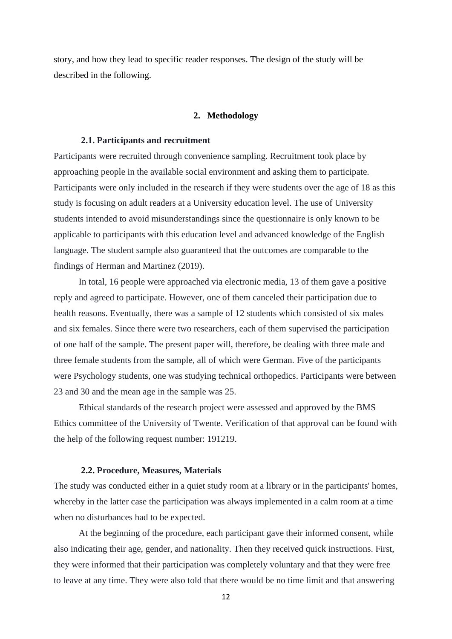story, and how they lead to specific reader responses. The design of the study will be described in the following.

### **2. Methodology**

#### **2.1. Participants and recruitment**

Participants were recruited through convenience sampling. Recruitment took place by approaching people in the available social environment and asking them to participate. Participants were only included in the research if they were students over the age of 18 as this study is focusing on adult readers at a University education level. The use of University students intended to avoid misunderstandings since the questionnaire is only known to be applicable to participants with this education level and advanced knowledge of the English language. The student sample also guaranteed that the outcomes are comparable to the findings of Herman and Martinez (2019).

In total, 16 people were approached via electronic media, 13 of them gave a positive reply and agreed to participate. However, one of them canceled their participation due to health reasons. Eventually, there was a sample of 12 students which consisted of six males and six females. Since there were two researchers, each of them supervised the participation of one half of the sample. The present paper will, therefore, be dealing with three male and three female students from the sample, all of which were German. Five of the participants were Psychology students, one was studying technical orthopedics. Participants were between 23 and 30 and the mean age in the sample was 25.

Ethical standards of the research project were assessed and approved by the BMS Ethics committee of the University of Twente. Verification of that approval can be found with the help of the following request number: 191219.

#### **2.2. Procedure, Measures, Materials**

The study was conducted either in a quiet study room at a library or in the participants' homes, whereby in the latter case the participation was always implemented in a calm room at a time when no disturbances had to be expected.

At the beginning of the procedure, each participant gave their informed consent, while also indicating their age, gender, and nationality. Then they received quick instructions. First, they were informed that their participation was completely voluntary and that they were free to leave at any time. They were also told that there would be no time limit and that answering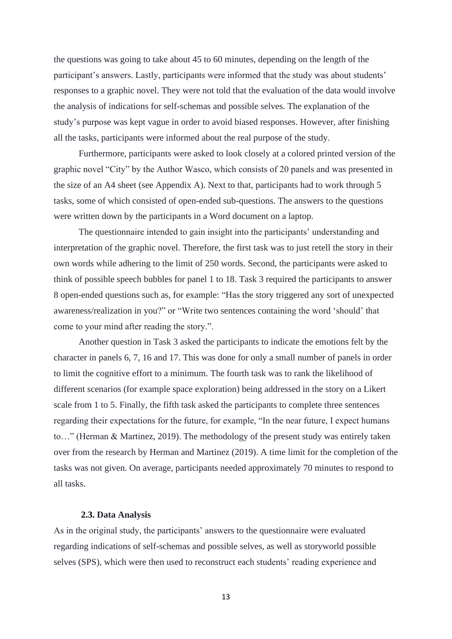the questions was going to take about 45 to 60 minutes, depending on the length of the participant's answers. Lastly, participants were informed that the study was about students' responses to a graphic novel. They were not told that the evaluation of the data would involve the analysis of indications for self-schemas and possible selves. The explanation of the study's purpose was kept vague in order to avoid biased responses. However, after finishing all the tasks, participants were informed about the real purpose of the study.

Furthermore, participants were asked to look closely at a colored printed version of the graphic novel "City" by the Author Wasco, which consists of 20 panels and was presented in the size of an A4 sheet (see Appendix A). Next to that, participants had to work through 5 tasks, some of which consisted of open-ended sub-questions. The answers to the questions were written down by the participants in a Word document on a laptop.

The questionnaire intended to gain insight into the participants' understanding and interpretation of the graphic novel. Therefore, the first task was to just retell the story in their own words while adhering to the limit of 250 words. Second, the participants were asked to think of possible speech bubbles for panel 1 to 18. Task 3 required the participants to answer 8 open-ended questions such as, for example: "Has the story triggered any sort of unexpected awareness/realization in you?" or "Write two sentences containing the word 'should' that come to your mind after reading the story.".

Another question in Task 3 asked the participants to indicate the emotions felt by the character in panels 6, 7, 16 and 17. This was done for only a small number of panels in order to limit the cognitive effort to a minimum. The fourth task was to rank the likelihood of different scenarios (for example space exploration) being addressed in the story on a Likert scale from 1 to 5. Finally, the fifth task asked the participants to complete three sentences regarding their expectations for the future, for example, "In the near future, I expect humans to…" (Herman & Martinez, 2019). The methodology of the present study was entirely taken over from the research by Herman and Martinez (2019). A time limit for the completion of the tasks was not given. On average, participants needed approximately 70 minutes to respond to all tasks.

#### **2.3. Data Analysis**

As in the original study, the participants' answers to the questionnaire were evaluated regarding indications of self-schemas and possible selves, as well as storyworld possible selves (SPS), which were then used to reconstruct each students' reading experience and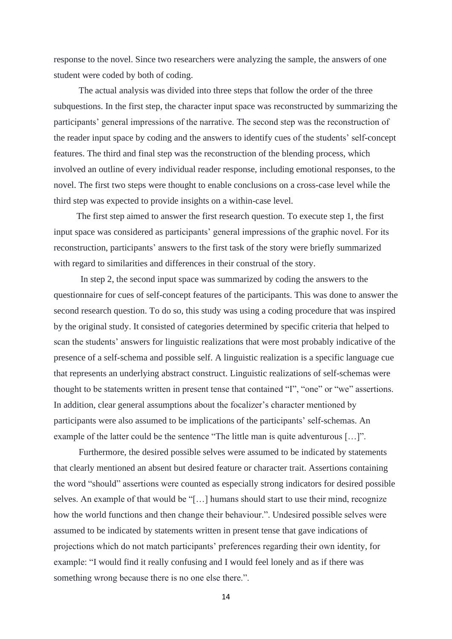response to the novel. Since two researchers were analyzing the sample, the answers of one student were coded by both of coding.

The actual analysis was divided into three steps that follow the order of the three subquestions. In the first step, the character input space was reconstructed by summarizing the participants' general impressions of the narrative. The second step was the reconstruction of the reader input space by coding and the answers to identify cues of the students' self-concept features. The third and final step was the reconstruction of the blending process, which involved an outline of every individual reader response, including emotional responses, to the novel. The first two steps were thought to enable conclusions on a cross-case level while the third step was expected to provide insights on a within-case level.

The first step aimed to answer the first research question. To execute step 1, the first input space was considered as participants' general impressions of the graphic novel. For its reconstruction, participants' answers to the first task of the story were briefly summarized with regard to similarities and differences in their construal of the story.

In step 2, the second input space was summarized by coding the answers to the questionnaire for cues of self-concept features of the participants. This was done to answer the second research question. To do so, this study was using a coding procedure that was inspired by the original study. It consisted of categories determined by specific criteria that helped to scan the students' answers for linguistic realizations that were most probably indicative of the presence of a self-schema and possible self. A linguistic realization is a specific language cue that represents an underlying abstract construct. Linguistic realizations of self-schemas were thought to be statements written in present tense that contained "I", "one" or "we" assertions. In addition, clear general assumptions about the focalizer's character mentioned by participants were also assumed to be implications of the participants' self-schemas. An example of the latter could be the sentence "The little man is quite adventurous [...]".

Furthermore, the desired possible selves were assumed to be indicated by statements that clearly mentioned an absent but desired feature or character trait. Assertions containing the word "should" assertions were counted as especially strong indicators for desired possible selves. An example of that would be "[…] humans should start to use their mind, recognize how the world functions and then change their behaviour.". Undesired possible selves were assumed to be indicated by statements written in present tense that gave indications of projections which do not match participants' preferences regarding their own identity, for example: "I would find it really confusing and I would feel lonely and as if there was something wrong because there is no one else there.".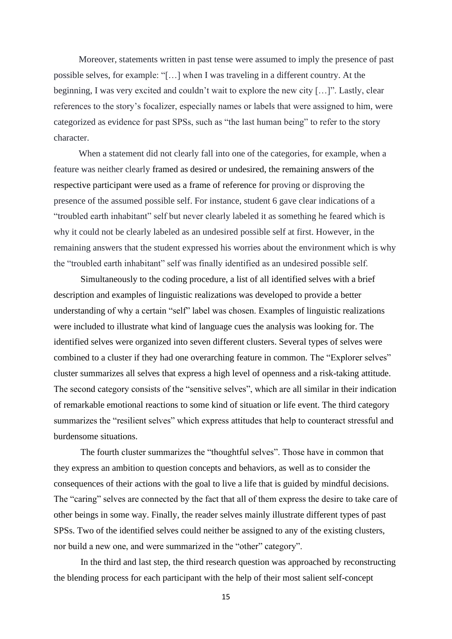Moreover, statements written in past tense were assumed to imply the presence of past possible selves, for example: "[…] when I was traveling in a different country. At the beginning, I was very excited and couldn't wait to explore the new city […]". Lastly, clear references to the story's focalizer, especially names or labels that were assigned to him, were categorized as evidence for past SPSs, such as "the last human being" to refer to the story character.

When a statement did not clearly fall into one of the categories, for example, when a feature was neither clearly framed as desired or undesired, the remaining answers of the respective participant were used as a frame of reference for proving or disproving the presence of the assumed possible self. For instance, student 6 gave clear indications of a "troubled earth inhabitant" self but never clearly labeled it as something he feared which is why it could not be clearly labeled as an undesired possible self at first. However, in the remaining answers that the student expressed his worries about the environment which is why the "troubled earth inhabitant" self was finally identified as an undesired possible self.

Simultaneously to the coding procedure, a list of all identified selves with a brief description and examples of linguistic realizations was developed to provide a better understanding of why a certain "self" label was chosen. Examples of linguistic realizations were included to illustrate what kind of language cues the analysis was looking for. The identified selves were organized into seven different clusters. Several types of selves were combined to a cluster if they had one overarching feature in common. The "Explorer selves" cluster summarizes all selves that express a high level of openness and a risk-taking attitude. The second category consists of the "sensitive selves", which are all similar in their indication of remarkable emotional reactions to some kind of situation or life event. The third category summarizes the "resilient selves" which express attitudes that help to counteract stressful and burdensome situations.

The fourth cluster summarizes the "thoughtful selves". Those have in common that they express an ambition to question concepts and behaviors, as well as to consider the consequences of their actions with the goal to live a life that is guided by mindful decisions. The "caring" selves are connected by the fact that all of them express the desire to take care of other beings in some way. Finally, the reader selves mainly illustrate different types of past SPSs. Two of the identified selves could neither be assigned to any of the existing clusters, nor build a new one, and were summarized in the "other" category".

In the third and last step, the third research question was approached by reconstructing the blending process for each participant with the help of their most salient self-concept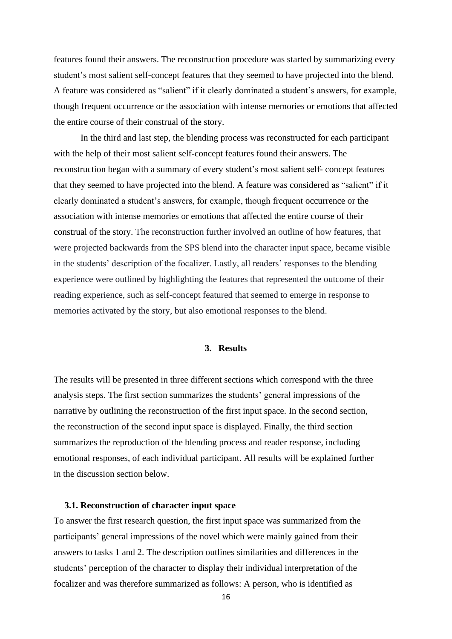features found their answers. The reconstruction procedure was started by summarizing every student's most salient self-concept features that they seemed to have projected into the blend. A feature was considered as "salient" if it clearly dominated a student's answers, for example, though frequent occurrence or the association with intense memories or emotions that affected the entire course of their construal of the story.

In the third and last step, the blending process was reconstructed for each participant with the help of their most salient self-concept features found their answers. The reconstruction began with a summary of every student's most salient self- concept features that they seemed to have projected into the blend. A feature was considered as "salient" if it clearly dominated a student's answers, for example, though frequent occurrence or the association with intense memories or emotions that affected the entire course of their construal of the story. The reconstruction further involved an outline of how features, that were projected backwards from the SPS blend into the character input space, became visible in the students' description of the focalizer. Lastly, all readers' responses to the blending experience were outlined by highlighting the features that represented the outcome of their reading experience, such as self-concept featured that seemed to emerge in response to memories activated by the story, but also emotional responses to the blend.

# **3. Results**

The results will be presented in three different sections which correspond with the three analysis steps. The first section summarizes the students' general impressions of the narrative by outlining the reconstruction of the first input space. In the second section, the reconstruction of the second input space is displayed. Finally, the third section summarizes the reproduction of the blending process and reader response, including emotional responses, of each individual participant. All results will be explained further in the discussion section below.

#### **3.1. Reconstruction of character input space**

To answer the first research question, the first input space was summarized from the participants' general impressions of the novel which were mainly gained from their answers to tasks 1 and 2. The description outlines similarities and differences in the students' perception of the character to display their individual interpretation of the focalizer and was therefore summarized as follows: A person, who is identified as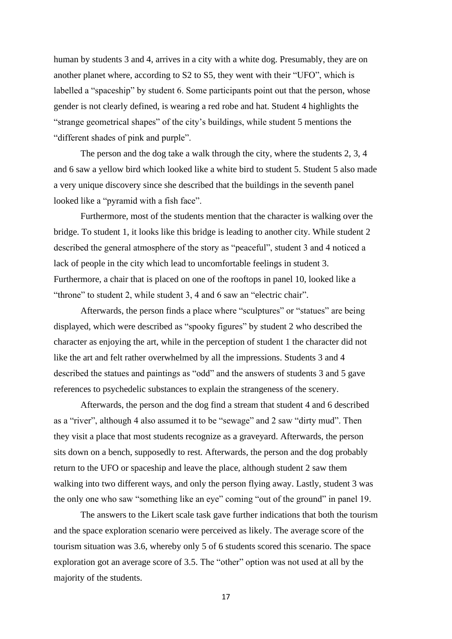human by students 3 and 4, arrives in a city with a white dog. Presumably, they are on another planet where, according to S2 to S5, they went with their "UFO", which is labelled a "spaceship" by student 6. Some participants point out that the person, whose gender is not clearly defined, is wearing a red robe and hat. Student 4 highlights the "strange geometrical shapes" of the city's buildings, while student 5 mentions the "different shades of pink and purple".

The person and the dog take a walk through the city, where the students 2, 3, 4 and 6 saw a yellow bird which looked like a white bird to student 5. Student 5 also made a very unique discovery since she described that the buildings in the seventh panel looked like a "pyramid with a fish face".

Furthermore, most of the students mention that the character is walking over the bridge. To student 1, it looks like this bridge is leading to another city. While student 2 described the general atmosphere of the story as "peaceful", student 3 and 4 noticed a lack of people in the city which lead to uncomfortable feelings in student 3. Furthermore, a chair that is placed on one of the rooftops in panel 10, looked like a "throne" to student 2, while student 3, 4 and 6 saw an "electric chair".

Afterwards, the person finds a place where "sculptures" or "statues" are being displayed, which were described as "spooky figures" by student 2 who described the character as enjoying the art, while in the perception of student 1 the character did not like the art and felt rather overwhelmed by all the impressions. Students 3 and 4 described the statues and paintings as "odd" and the answers of students 3 and 5 gave references to psychedelic substances to explain the strangeness of the scenery.

Afterwards, the person and the dog find a stream that student 4 and 6 described as a "river", although 4 also assumed it to be "sewage" and 2 saw "dirty mud". Then they visit a place that most students recognize as a graveyard. Afterwards, the person sits down on a bench, supposedly to rest. Afterwards, the person and the dog probably return to the UFO or spaceship and leave the place, although student 2 saw them walking into two different ways, and only the person flying away. Lastly, student 3 was the only one who saw "something like an eye" coming "out of the ground" in panel 19.

The answers to the Likert scale task gave further indications that both the tourism and the space exploration scenario were perceived as likely. The average score of the tourism situation was 3.6, whereby only 5 of 6 students scored this scenario. The space exploration got an average score of 3.5. The "other" option was not used at all by the majority of the students.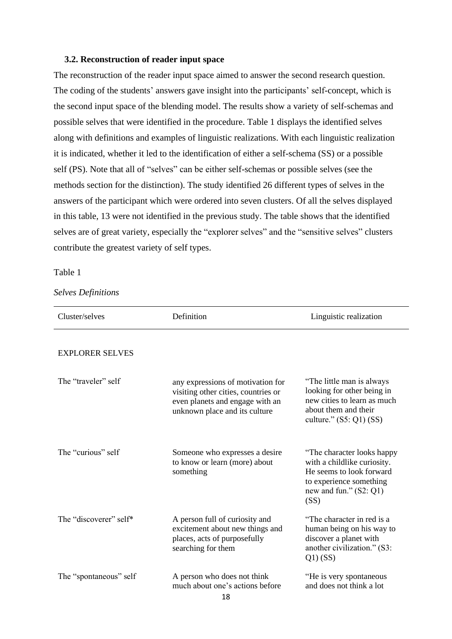### **3.2. Reconstruction of reader input space**

The reconstruction of the reader input space aimed to answer the second research question. The coding of the students' answers gave insight into the participants' self-concept, which is the second input space of the blending model. The results show a variety of self-schemas and possible selves that were identified in the procedure. Table 1 displays the identified selves along with definitions and examples of linguistic realizations. With each linguistic realization it is indicated, whether it led to the identification of either a self-schema (SS) or a possible self (PS). Note that all of "selves" can be either self-schemas or possible selves (see the methods section for the distinction). The study identified 26 different types of selves in the answers of the participant which were ordered into seven clusters. Of all the selves displayed in this table, 13 were not identified in the previous study. The table shows that the identified selves are of great variety, especially the "explorer selves" and the "sensitive selves" clusters contribute the greatest variety of self types.

#### Table 1

### *Selves Definitions*

| Cluster/selves         | Definition                                                                                                                                   | Linguistic realization                                                                                                                               |  |
|------------------------|----------------------------------------------------------------------------------------------------------------------------------------------|------------------------------------------------------------------------------------------------------------------------------------------------------|--|
| <b>EXPLORER SELVES</b> |                                                                                                                                              |                                                                                                                                                      |  |
| The "traveler" self    | any expressions of motivation for<br>visiting other cities, countries or<br>even planets and engage with an<br>unknown place and its culture | "The little man is always"<br>looking for other being in<br>new cities to learn as much<br>about them and their<br>culture." $(S5: Q1)$ $(SS)$       |  |
| The "curious" self     | Someone who expresses a desire<br>to know or learn (more) about<br>something                                                                 | "The character looks happy<br>with a childlike curiosity.<br>He seems to look forward<br>to experience something<br>new and fun." $(S2: Q1)$<br>(SS) |  |
| The "discoverer" self* | A person full of curiosity and<br>excitement about new things and<br>places, acts of purposefully<br>searching for them                      | "The character in red is a<br>human being on his way to<br>discover a planet with<br>another civilization." (S3:<br>$Q1)$ (SS)                       |  |
| The "spontaneous" self | A person who does not think<br>much about one's actions before<br>$\overline{a}$                                                             | "He is very spontaneous<br>and does not think a lot                                                                                                  |  |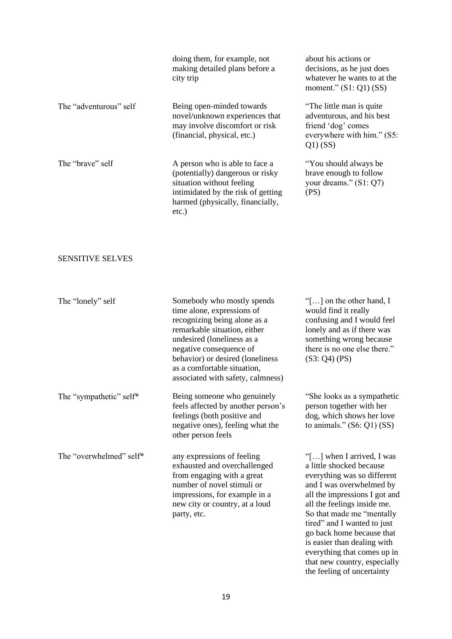|                        | doing them, for example, not<br>making detailed plans before a<br>city trip                                                                                                        | about his actions or<br>decisions, as he just does<br>whatever he wants to at the<br>moment." $(S1: Q1)$ $(SS)$          |
|------------------------|------------------------------------------------------------------------------------------------------------------------------------------------------------------------------------|--------------------------------------------------------------------------------------------------------------------------|
| The "adventurous" self | Being open-minded towards<br>novel/unknown experiences that<br>may involve discomfort or risk<br>(financial, physical, etc.)                                                       | "The little man is quite"<br>adventurous, and his best<br>friend 'dog' comes<br>everywhere with him." (S5:<br>$Q1)$ (SS) |
| The "brave" self       | A person who is able to face a<br>(potentially) dangerous or risky<br>situation without feeling<br>intimidated by the risk of getting<br>harmed (physically, financially,<br>etc.) | "You should always be<br>brave enough to follow<br>your dreams." $(S1: Q7)$<br>(PS)                                      |

# SENSITIVE SELVES

| The "lonely" self       | Somebody who mostly spends<br>time alone, expressions of<br>recognizing being alone as a<br>remarkable situation, either<br>undesired (loneliness as a<br>negative consequence of<br>behavior) or desired (loneliness<br>as a comfortable situation,<br>associated with safety, calmness) | "[ $\ldots$ ] on the other hand, I<br>would find it really<br>confusing and I would feel<br>lonely and as if there was<br>something wrong because<br>there is no one else there."<br>(S3: Q4) (PS)                                                                                                                                      |
|-------------------------|-------------------------------------------------------------------------------------------------------------------------------------------------------------------------------------------------------------------------------------------------------------------------------------------|-----------------------------------------------------------------------------------------------------------------------------------------------------------------------------------------------------------------------------------------------------------------------------------------------------------------------------------------|
| The "sympathetic" self* | Being someone who genuinely<br>feels affected by another person's<br>feelings (both positive and<br>negative ones), feeling what the<br>other person feels                                                                                                                                | "She looks as a sympathetic<br>person together with her<br>dog, which shows her love<br>to animals." $(S6: Q1)$ $(SS)$                                                                                                                                                                                                                  |
| The "overwhelmed" self* | any expressions of feeling<br>exhausted and overchallenged<br>from engaging with a great<br>number of novel stimuli or<br>impressions, for example in a<br>new city or country, at a loud<br>party, etc.                                                                                  | "[] when I arrived, I was<br>a little shocked because<br>everything was so different<br>and I was overwhelmed by<br>all the impressions I got and<br>all the feelings inside me.<br>So that made me "mentally<br>tired" and I wanted to just<br>go back home because that<br>is easier than dealing with<br>everything that comes up in |

that new country, especially the feeling of uncertainty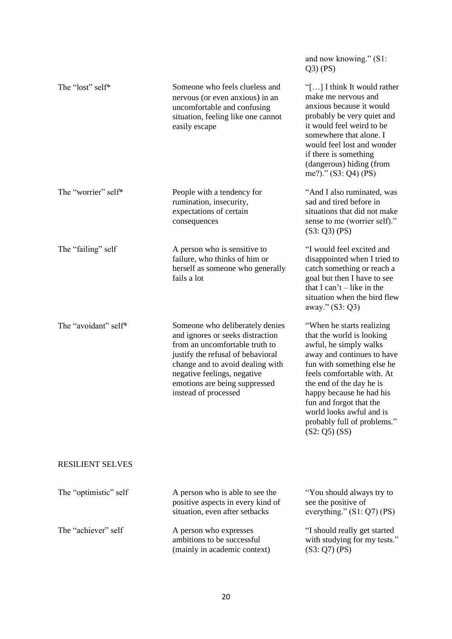|                         |                                                                                                                                                                                                                                                                        | and now knowing." (S1:<br>$Q3)$ (PS)                                                                                                                                                                                                                                                                                                          |
|-------------------------|------------------------------------------------------------------------------------------------------------------------------------------------------------------------------------------------------------------------------------------------------------------------|-----------------------------------------------------------------------------------------------------------------------------------------------------------------------------------------------------------------------------------------------------------------------------------------------------------------------------------------------|
| The "lost" self*        | Someone who feels clueless and<br>nervous (or even anxious) in an<br>uncomfortable and confusing<br>situation, feeling like one cannot<br>easily escape                                                                                                                | "[] I think It would rather<br>make me nervous and<br>anxious because it would<br>probably be very quiet and<br>it would feel weird to be<br>somewhere that alone. I<br>would feel lost and wonder<br>if there is something<br>(dangerous) hiding (from<br>me?)." (S3: Q4) (PS)                                                               |
| The "worrier" self*     | People with a tendency for<br>rumination, insecurity,<br>expectations of certain<br>consequences                                                                                                                                                                       | "And I also ruminated, was<br>sad and tired before in<br>situations that did not make<br>sense to me (worrier self)."<br>(S3: Q3) (PS)                                                                                                                                                                                                        |
| The "failing" self      | A person who is sensitive to<br>failure, who thinks of him or<br>herself as someone who generally<br>fails a lot                                                                                                                                                       | "I would feel excited and<br>disappointed when I tried to<br>catch something or reach a<br>goal but then I have to see<br>that I can't $-$ like in the<br>situation when the bird flew<br>away." (S3: Q3)                                                                                                                                     |
| The "avoidant" self*    | Someone who deliberately denies<br>and ignores or seeks distraction<br>from an uncomfortable truth to<br>justify the refusal of behavioral<br>change and to avoid dealing with<br>negative feelings, negative<br>emotions are being suppressed<br>instead of processed | "When he starts realizing<br>that the world is looking<br>awful, he simply walks<br>away and continues to have<br>fun with something else he<br>feels comfortable with. At<br>the end of the day he is<br>happy because he had his<br>fun and forgot that the<br>world looks awful and is<br>probably full of problems."<br>$(S2: Q5)$ $(SS)$ |
| <b>RESILIENT SELVES</b> |                                                                                                                                                                                                                                                                        |                                                                                                                                                                                                                                                                                                                                               |
| The "optimistic" self   | A person who is able to see the<br>positive aspects in every kind of<br>situation, even after setbacks                                                                                                                                                                 | "You should always try to<br>see the positive of<br>everything." $(S1: Q7)$ (PS)                                                                                                                                                                                                                                                              |
| The "achiever" self     | A person who expresses<br>ambitions to be successful<br>(mainly in academic context)                                                                                                                                                                                   | "I should really get started<br>with studying for my tests."<br>(S3: Q7) (PS)                                                                                                                                                                                                                                                                 |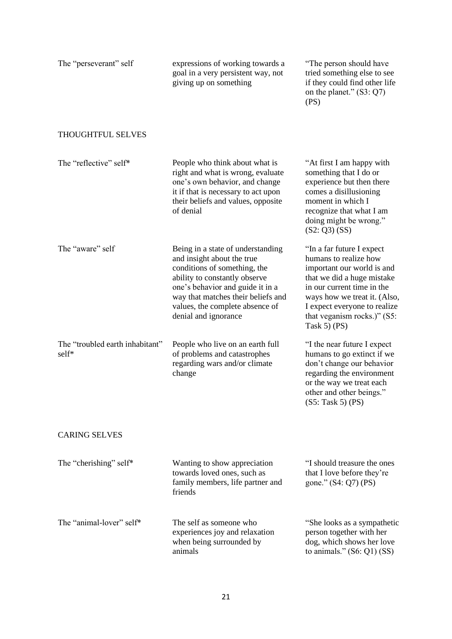| The "perseverant" self                   | expressions of working towards a<br>goal in a very persistent way, not<br>giving up on something                                                                                                                                                                      | "The person should have<br>tried something else to see<br>if they could find other life<br>on the planet." $(S3: Q7)$<br>(PS)                                                                                                                                |  |
|------------------------------------------|-----------------------------------------------------------------------------------------------------------------------------------------------------------------------------------------------------------------------------------------------------------------------|--------------------------------------------------------------------------------------------------------------------------------------------------------------------------------------------------------------------------------------------------------------|--|
| <b>THOUGHTFUL SELVES</b>                 |                                                                                                                                                                                                                                                                       |                                                                                                                                                                                                                                                              |  |
| The "reflective" self*                   | People who think about what is<br>right and what is wrong, evaluate<br>one's own behavior, and change<br>it if that is necessary to act upon<br>their beliefs and values, opposite<br>of denial                                                                       | "At first I am happy with<br>something that I do or<br>experience but then there<br>comes a disillusioning<br>moment in which I<br>recognize that what I am<br>doing might be wrong."<br>$(S2: Q3)$ $(SS)$                                                   |  |
| The "aware" self                         | Being in a state of understanding<br>and insight about the true<br>conditions of something, the<br>ability to constantly observe<br>one's behavior and guide it in a<br>way that matches their beliefs and<br>values, the complete absence of<br>denial and ignorance | "In a far future I expect<br>humans to realize how<br>important our world is and<br>that we did a huge mistake<br>in our current time in the<br>ways how we treat it. (Also,<br>I expect everyone to realize<br>that veganism rocks.)" (S5:<br>Task 5 $(PS)$ |  |
| The "troubled earth inhabitant"<br>self* | People who live on an earth full<br>of problems and catastrophes<br>regarding wars and/or climate<br>change                                                                                                                                                           | "I the near future I expect<br>humans to go extinct if we<br>don't change our behavior<br>regarding the environment<br>or the way we treat each<br>other and other beings."<br>(S5: Task 5) (PS)                                                             |  |
| <b>CARING SELVES</b>                     |                                                                                                                                                                                                                                                                       |                                                                                                                                                                                                                                                              |  |
| The "cherishing" self*                   | Wanting to show appreciation<br>towards loved ones, such as<br>family members, life partner and<br>friends                                                                                                                                                            | "I should treasure the ones<br>that I love before they're<br>gone." (S4: Q7) (PS)                                                                                                                                                                            |  |
| The "animal-lover" self*                 | The self as someone who<br>experiences joy and relaxation<br>when being surrounded by<br>animals                                                                                                                                                                      | "She looks as a sympathetic<br>person together with her<br>dog, which shows her love<br>to animals." $(S6: Q1)$ $(SS)$                                                                                                                                       |  |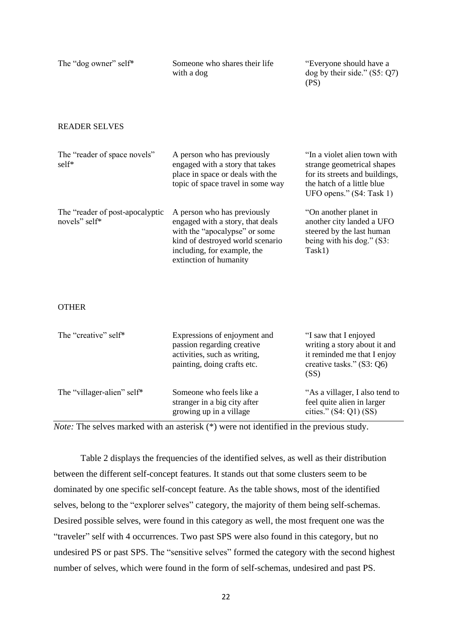| The "dog owner" self*                            | Someone who shares their life<br>with a dog                                                                                                                                                   | "Everyone should have a<br>dog by their side." $(S5: Q7)$<br>(PS)                                                                                      |  |
|--------------------------------------------------|-----------------------------------------------------------------------------------------------------------------------------------------------------------------------------------------------|--------------------------------------------------------------------------------------------------------------------------------------------------------|--|
| <b>READER SELVES</b>                             |                                                                                                                                                                                               |                                                                                                                                                        |  |
| The "reader of space novels"<br>self*            | A person who has previously<br>engaged with a story that takes<br>place in space or deals with the<br>topic of space travel in some way                                                       | "In a violet alien town with<br>strange geometrical shapes<br>for its streets and buildings,<br>the hatch of a little blue<br>UFO opens." (S4: Task 1) |  |
| The "reader of post-apocalyptic<br>novels" self* | A person who has previously<br>engaged with a story, that deals<br>with the "apocalypse" or some<br>kind of destroyed world scenario<br>including, for example, the<br>extinction of humanity | "On another planet in<br>another city landed a UFO<br>steered by the last human<br>being with his dog." (S3:<br>Task1)                                 |  |
| <b>OTHER</b>                                     |                                                                                                                                                                                               |                                                                                                                                                        |  |
| The "creative" self*                             | Expressions of enjoyment and<br>passion regarding creative<br>activities, such as writing,<br>painting, doing crafts etc.                                                                     | "I saw that I enjoyed<br>writing a story about it and<br>it reminded me that I enjoy<br>creative tasks." (S3: Q6)<br>(SS)                              |  |
| The "villager-alien" self*                       | Someone who feels like a<br>stranger in a big city after<br>growing up in a village                                                                                                           | "As a villager, I also tend to<br>feel quite alien in larger<br>cities." $(S4:Q1)$ $(SS)$                                                              |  |

*Note:* The selves marked with an asterisk (\*) were not identified in the previous study.

Table 2 displays the frequencies of the identified selves, as well as their distribution between the different self-concept features. It stands out that some clusters seem to be dominated by one specific self-concept feature. As the table shows, most of the identified selves, belong to the "explorer selves" category, the majority of them being self-schemas. Desired possible selves, were found in this category as well, the most frequent one was the "traveler" self with 4 occurrences. Two past SPS were also found in this category, but no undesired PS or past SPS. The "sensitive selves" formed the category with the second highest number of selves, which were found in the form of self-schemas, undesired and past PS.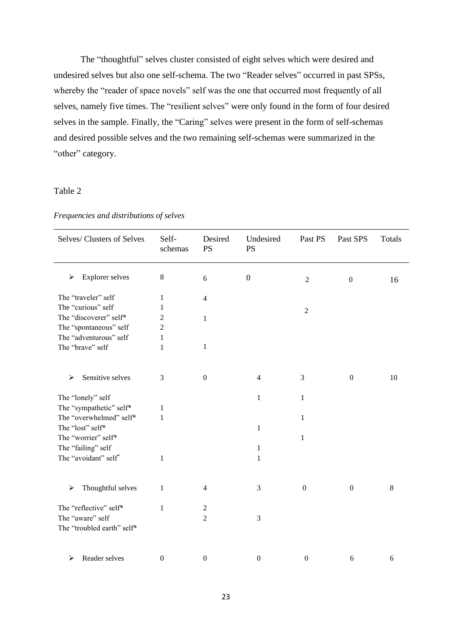The "thoughtful" selves cluster consisted of eight selves which were desired and undesired selves but also one self-schema. The two "Reader selves" occurred in past SPSs, whereby the "reader of space novels" self was the one that occurred most frequently of all selves, namely five times. The "resilient selves" were only found in the form of four desired selves in the sample. Finally, the "Caring" selves were present in the form of self-schemas and desired possible selves and the two remaining self-schemas were summarized in the "other" category.

# Table 2

| Selves/Clusters of Selves   | Self-<br>schemas | Desired<br><b>PS</b> | Undesired<br><b>PS</b> | Past PS          | Past SPS         | Totals           |
|-----------------------------|------------------|----------------------|------------------------|------------------|------------------|------------------|
| <b>Explorer selves</b><br>➤ | $\,8\,$          | 6                    | $\boldsymbol{0}$       | $\overline{2}$   | $\boldsymbol{0}$ | 16               |
| The "traveler" self         | 1                | $\overline{4}$       |                        |                  |                  |                  |
| The "curious" self          | 1                |                      |                        | $\sqrt{2}$       |                  |                  |
| The "discoverer" self*      | $\overline{c}$   | $\mathbf{1}$         |                        |                  |                  |                  |
| The "spontaneous" self      | $\overline{c}$   |                      |                        |                  |                  |                  |
| The "adventurous" self      | $\mathbf{1}$     |                      |                        |                  |                  |                  |
| The "brave" self            | 1                | 1                    |                        |                  |                  |                  |
| Sensitive selves<br>➤       | 3                | $\boldsymbol{0}$     | $\overline{4}$         | 3                | $\boldsymbol{0}$ | 10               |
| The "lonely" self           |                  |                      | $\mathbf{1}$           | $\mathbf{1}$     |                  |                  |
| The "sympathetic" self*     | 1                |                      |                        |                  |                  |                  |
| The "overwhelmed" self*     | $\mathbf 1$      |                      |                        | 1                |                  |                  |
| The "lost" self*            |                  |                      | $\mathbf{1}$           |                  |                  |                  |
| The "worrier" self*         |                  |                      |                        | $\mathbf{1}$     |                  |                  |
| The "failing" self          |                  |                      | $\mathbf{1}$           |                  |                  |                  |
| The "avoidant" self"        | 1                |                      | 1                      |                  |                  |                  |
| Thoughtful selves<br>➤      | 1                | $\overline{4}$       | 3                      | $\mathbf{0}$     | $\mathbf{0}$     | 8                |
| The "reflective" self*      | $\mathbf{1}$     | $\sqrt{2}$           |                        |                  |                  |                  |
| The "aware" self            |                  | $\overline{2}$       | 3                      |                  |                  |                  |
| The "troubled earth" self*  |                  |                      |                        |                  |                  |                  |
| Reader selves<br>➤          | $\boldsymbol{0}$ | $\boldsymbol{0}$     | $\boldsymbol{0}$       | $\boldsymbol{0}$ | 6                | $\boldsymbol{6}$ |

*Frequencies and distributions of selves*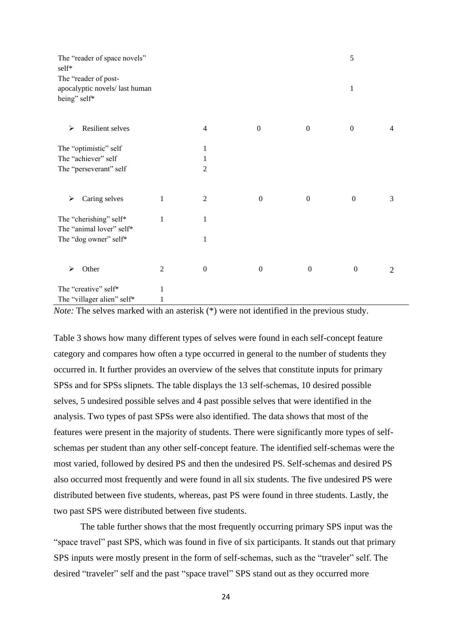| The "reader of space novels"<br>self*                                 |                |                          |                  |                  | 5                |                |
|-----------------------------------------------------------------------|----------------|--------------------------|------------------|------------------|------------------|----------------|
| The "reader of post-<br>apocalyptic novels/last human<br>being" self* |                |                          |                  |                  | 1                |                |
|                                                                       |                |                          |                  |                  |                  |                |
| Resilient selves<br>≻                                                 |                | $\overline{\mathcal{A}}$ | $\boldsymbol{0}$ | $\boldsymbol{0}$ | $\boldsymbol{0}$ | $\overline{4}$ |
| The "optimistic" self                                                 |                | 1                        |                  |                  |                  |                |
| The "achiever" self                                                   |                | 1                        |                  |                  |                  |                |
| The "perseverant" self                                                |                | $\overline{2}$           |                  |                  |                  |                |
| Caring selves<br>⋗                                                    | 1              | $\overline{c}$           | $\boldsymbol{0}$ | $\boldsymbol{0}$ | $\boldsymbol{0}$ | 3              |
| The "cherishing" self*<br>The "animal lover" self*                    | 1              | $\mathbf{1}$             |                  |                  |                  |                |
| The "dog owner" self*                                                 |                | 1                        |                  |                  |                  |                |
| Other<br>⋗                                                            | $\overline{c}$ | $\boldsymbol{0}$         | $\boldsymbol{0}$ | $\boldsymbol{0}$ | $\boldsymbol{0}$ | $\overline{2}$ |
| The "creative" self*                                                  | 1              |                          |                  |                  |                  |                |
| The "villager alien" self*                                            | 1              |                          |                  |                  |                  |                |

*Note:* The selves marked with an asterisk (\*) were not identified in the previous study.

Table 3 shows how many different types of selves were found in each self-concept feature category and compares how often a type occurred in general to the number of students they occurred in. It further provides an overview of the selves that constitute inputs for primary SPSs and for SPSs slipnets. The table displays the 13 self-schemas, 10 desired possible selves, 5 undesired possible selves and 4 past possible selves that were identified in the analysis. Two types of past SPSs were also identified. The data shows that most of the features were present in the majority of students. There were significantly more types of selfschemas per student than any other self-concept feature. The identified self-schemas were the most varied, followed by desired PS and then the undesired PS. Self-schemas and desired PS also occurred most frequently and were found in all six students. The five undesired PS were distributed between five students, whereas, past PS were found in three students. Lastly, the two past SPS were distributed between five students.

The table further shows that the most frequently occurring primary SPS input was the "space travel" past SPS, which was found in five of six participants. It stands out that primary SPS inputs were mostly present in the form of self-schemas, such as the "traveler" self. The desired "traveler" self and the past "space travel" SPS stand out as they occurred more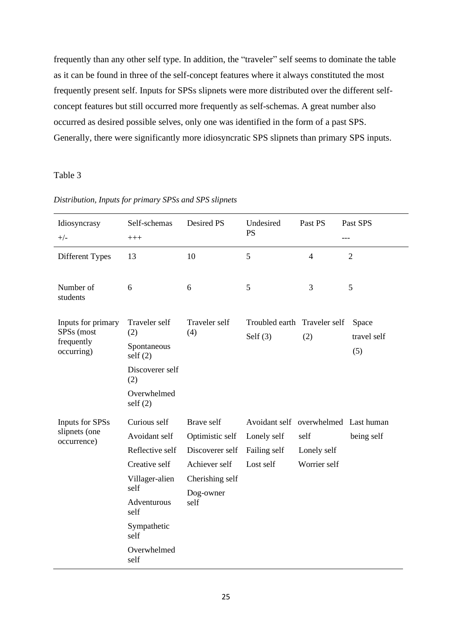frequently than any other self type. In addition, the "traveler" self seems to dominate the table as it can be found in three of the self-concept features where it always constituted the most frequently present self. Inputs for SPSs slipnets were more distributed over the different selfconcept features but still occurred more frequently as self-schemas. A great number also occurred as desired possible selves, only one was identified in the form of a past SPS. Generally, there were significantly more idiosyncratic SPS slipnets than primary SPS inputs.

Table 3

| Idiosyncrasy<br>$+/-$            | Self-schemas<br>$+++$  | Desired PS           | Undesired<br>PS                            | Past PS        | Past SPS<br>---             |
|----------------------------------|------------------------|----------------------|--------------------------------------------|----------------|-----------------------------|
| Different Types                  | 13                     | 10                   | 5                                          | $\overline{4}$ | $\overline{2}$              |
| Number of<br>students            | 6                      | 6                    | 5                                          | 3              | 5                           |
| Inputs for primary<br>SPSs (most | Traveler self<br>(2)   | Traveler self<br>(4) | Troubled earth Traveler self<br>Self $(3)$ | (2)            | Space<br>travel self<br>(5) |
| frequently<br>occurring)         | Spontaneous<br>self(2) |                      |                                            |                |                             |
|                                  | Discoverer self<br>(2) |                      |                                            |                |                             |
|                                  | Overwhelmed<br>self(2) |                      |                                            |                |                             |
| <b>Inputs for SPSs</b>           | Curious self           | Brave self           | Avoidant self overwhelmed Last human       |                |                             |
| slipnets (one<br>occurrence)     | Avoidant self          | Optimistic self      | Lonely self                                | self           | being self                  |
|                                  | Reflective self        | Discoverer self      | Failing self                               | Lonely self    |                             |
|                                  | Creative self          | Achiever self        | Lost self                                  | Worrier self   |                             |
|                                  | Villager-alien<br>self | Cherishing self      |                                            |                |                             |
|                                  | Adventurous<br>self    | Dog-owner<br>self    |                                            |                |                             |
|                                  | Sympathetic<br>self    |                      |                                            |                |                             |
|                                  | Overwhelmed<br>self    |                      |                                            |                |                             |

*Distribution, Inputs for primary SPSs and SPS slipnets*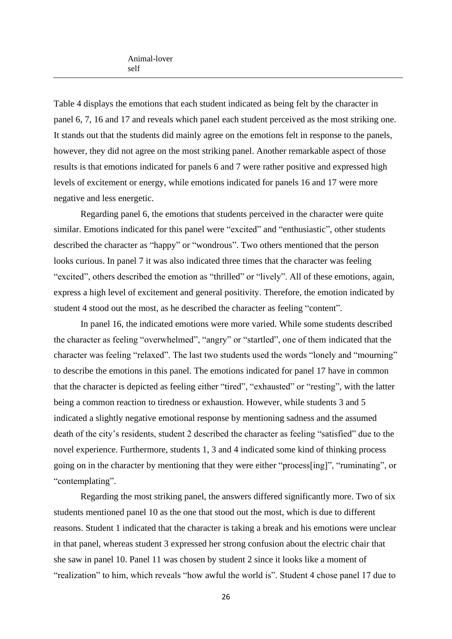Table 4 displays the emotions that each student indicated as being felt by the character in panel 6, 7, 16 and 17 and reveals which panel each student perceived as the most striking one. It stands out that the students did mainly agree on the emotions felt in response to the panels, however, they did not agree on the most striking panel. Another remarkable aspect of those results is that emotions indicated for panels 6 and 7 were rather positive and expressed high levels of excitement or energy, while emotions indicated for panels 16 and 17 were more negative and less energetic.

Regarding panel 6, the emotions that students perceived in the character were quite similar. Emotions indicated for this panel were "excited" and "enthusiastic", other students described the character as "happy" or "wondrous". Two others mentioned that the person looks curious. In panel 7 it was also indicated three times that the character was feeling "excited", others described the emotion as "thrilled" or "lively". All of these emotions, again, express a high level of excitement and general positivity. Therefore, the emotion indicated by student 4 stood out the most, as he described the character as feeling "content".

In panel 16, the indicated emotions were more varied. While some students described the character as feeling "overwhelmed", "angry" or "startled", one of them indicated that the character was feeling "relaxed". The last two students used the words "lonely and "mourning" to describe the emotions in this panel. The emotions indicated for panel 17 have in common that the character is depicted as feeling either "tired", "exhausted" or "resting", with the latter being a common reaction to tiredness or exhaustion. However, while students 3 and 5 indicated a slightly negative emotional response by mentioning sadness and the assumed death of the city's residents, student 2 described the character as feeling "satisfied" due to the novel experience. Furthermore, students 1, 3 and 4 indicated some kind of thinking process going on in the character by mentioning that they were either "process[ing]", "ruminating", or "contemplating".

Regarding the most striking panel, the answers differed significantly more. Two of six students mentioned panel 10 as the one that stood out the most, which is due to different reasons. Student 1 indicated that the character is taking a break and his emotions were unclear in that panel, whereas student 3 expressed her strong confusion about the electric chair that she saw in panel 10. Panel 11 was chosen by student 2 since it looks like a moment of "realization" to him, which reveals "how awful the world is". Student 4 chose panel 17 due to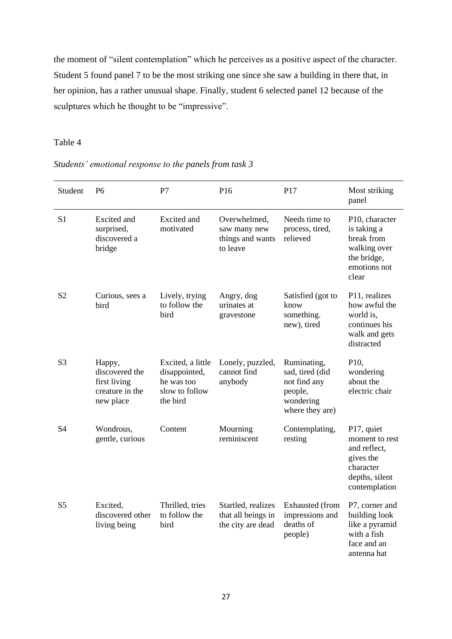the moment of "silent contemplation" which he perceives as a positive aspect of the character. Student 5 found panel 7 to be the most striking one since she saw a building in there that, in her opinion, has a rather unusual shape. Finally, student 6 selected panel 12 because of the sculptures which he thought to be "impressive".

# Table 4

| Students' emotional response to the panels from task 3 |  |  |
|--------------------------------------------------------|--|--|
|--------------------------------------------------------|--|--|

| Student        | <b>P6</b>                                                                | P7                                                                             | P16                                                           | P17                                                                                       | Most striking<br>panel                                                                                    |
|----------------|--------------------------------------------------------------------------|--------------------------------------------------------------------------------|---------------------------------------------------------------|-------------------------------------------------------------------------------------------|-----------------------------------------------------------------------------------------------------------|
| S <sub>1</sub> | Excited and<br>surprised,<br>discovered a<br>bridge                      | <b>Excited</b> and<br>motivated                                                | Overwhelmed,<br>saw many new<br>things and wants<br>to leave  | Needs time to<br>process, tired,<br>relieved                                              | P10, character<br>is taking a<br>break from<br>walking over<br>the bridge,<br>emotions not<br>clear       |
| S <sub>2</sub> | Curious, sees a<br>bird                                                  | Lively, trying<br>to follow the<br>bird                                        | Angry, dog<br>urinates at<br>gravestone                       | Satisfied (got to<br>know<br>something.<br>new), tired                                    | P11, realizes<br>how awful the<br>world is,<br>continues his<br>walk and gets<br>distracted               |
| S <sub>3</sub> | Happy,<br>discovered the<br>first living<br>creature in the<br>new place | Excited, a little<br>disappointed,<br>he was too<br>slow to follow<br>the bird | Lonely, puzzled,<br>cannot find<br>anybody                    | Ruminating,<br>sad, tired (did<br>not find any<br>people,<br>wondering<br>where they are) | P <sub>10</sub> ,<br>wondering<br>about the<br>electric chair                                             |
| <b>S4</b>      | Wondrous,<br>gentle, curious                                             | Content                                                                        | Mourning<br>reminiscent                                       | Contemplating,<br>resting                                                                 | P17, quiet<br>moment to rest<br>and reflect,<br>gives the<br>character<br>depths, silent<br>contemplation |
| S <sub>5</sub> | Excited,<br>discovered other<br>living being                             | Thrilled, tries<br>to follow the<br>bird                                       | Startled, realizes<br>that all beings in<br>the city are dead | Exhausted (from<br>impressions and<br>deaths of<br>people)                                | P7, corner and<br>building look<br>like a pyramid<br>with a fish<br>face and an<br>antenna hat            |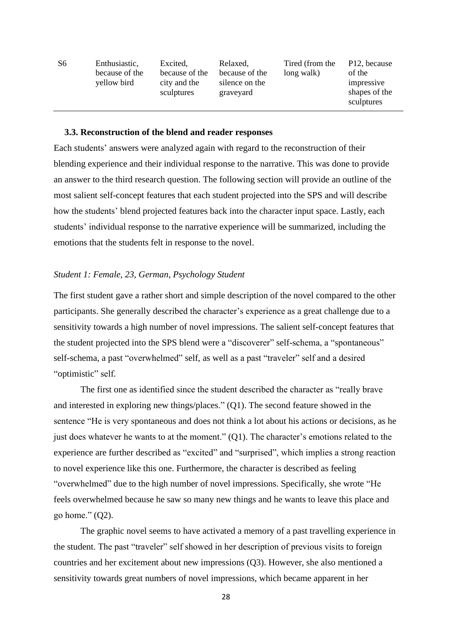| S6 | Enthusiastic,<br>because of the<br>yellow bird | Excited,<br>because of the<br>city and the<br>sculptures | Relaxed,<br>because of the<br>silence on the<br>graveyard | Tired (from the<br>long walk) | P <sub>12</sub> , because<br>of the<br>impressive<br>shapes of the<br>sculptures |
|----|------------------------------------------------|----------------------------------------------------------|-----------------------------------------------------------|-------------------------------|----------------------------------------------------------------------------------|
|----|------------------------------------------------|----------------------------------------------------------|-----------------------------------------------------------|-------------------------------|----------------------------------------------------------------------------------|

#### **3.3. Reconstruction of the blend and reader responses**

Each students' answers were analyzed again with regard to the reconstruction of their blending experience and their individual response to the narrative. This was done to provide an answer to the third research question. The following section will provide an outline of the most salient self-concept features that each student projected into the SPS and will describe how the students' blend projected features back into the character input space. Lastly, each students' individual response to the narrative experience will be summarized, including the emotions that the students felt in response to the novel.

#### *Student 1: Female, 23, German, Psychology Student*

The first student gave a rather short and simple description of the novel compared to the other participants. She generally described the character's experience as a great challenge due to a sensitivity towards a high number of novel impressions. The salient self-concept features that the student projected into the SPS blend were a "discoverer" self-schema, a "spontaneous" self-schema, a past "overwhelmed" self, as well as a past "traveler" self and a desired "optimistic" self.

The first one as identified since the student described the character as "really brave and interested in exploring new things/places." (Q1). The second feature showed in the sentence "He is very spontaneous and does not think a lot about his actions or decisions, as he just does whatever he wants to at the moment."  $(Q1)$ . The character's emotions related to the experience are further described as "excited" and "surprised", which implies a strong reaction to novel experience like this one. Furthermore, the character is described as feeling "overwhelmed" due to the high number of novel impressions. Specifically, she wrote "He feels overwhelmed because he saw so many new things and he wants to leave this place and go home."  $(Q2)$ .

The graphic novel seems to have activated a memory of a past travelling experience in the student. The past "traveler" self showed in her description of previous visits to foreign countries and her excitement about new impressions (Q3). However, she also mentioned a sensitivity towards great numbers of novel impressions, which became apparent in her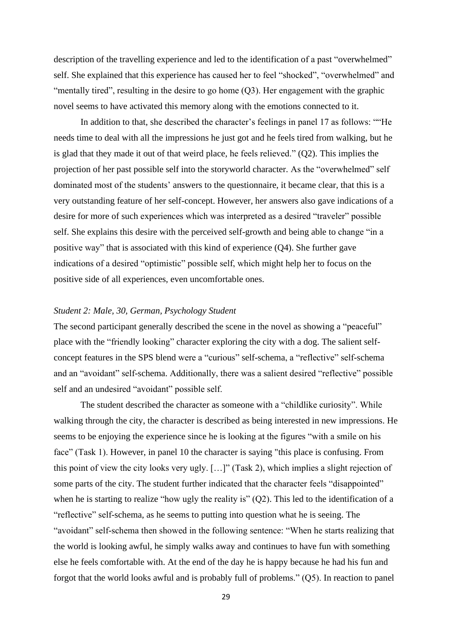description of the travelling experience and led to the identification of a past "overwhelmed" self. She explained that this experience has caused her to feel "shocked", "overwhelmed" and "mentally tired", resulting in the desire to go home (Q3). Her engagement with the graphic novel seems to have activated this memory along with the emotions connected to it.

In addition to that, she described the character's feelings in panel 17 as follows: ""He needs time to deal with all the impressions he just got and he feels tired from walking, but he is glad that they made it out of that weird place, he feels relieved." (Q2). This implies the projection of her past possible self into the storyworld character. As the "overwhelmed" self dominated most of the students' answers to the questionnaire, it became clear, that this is a very outstanding feature of her self-concept. However, her answers also gave indications of a desire for more of such experiences which was interpreted as a desired "traveler" possible self. She explains this desire with the perceived self-growth and being able to change "in a positive way" that is associated with this kind of experience (Q4). She further gave indications of a desired "optimistic" possible self, which might help her to focus on the positive side of all experiences, even uncomfortable ones.

# *Student 2: Male, 30, German, Psychology Student*

The second participant generally described the scene in the novel as showing a "peaceful" place with the "friendly looking" character exploring the city with a dog. The salient selfconcept features in the SPS blend were a "curious" self-schema, a "reflective" self-schema and an "avoidant" self-schema. Additionally, there was a salient desired "reflective" possible self and an undesired "avoidant" possible self.

The student described the character as someone with a "childlike curiosity". While walking through the city, the character is described as being interested in new impressions. He seems to be enjoying the experience since he is looking at the figures "with a smile on his face" (Task 1). However, in panel 10 the character is saying "this place is confusing. From this point of view the city looks very ugly. […]" (Task 2), which implies a slight rejection of some parts of the city. The student further indicated that the character feels "disappointed" when he is starting to realize "how ugly the reality is" (Q2). This led to the identification of a "reflective" self-schema, as he seems to putting into question what he is seeing. The "avoidant" self-schema then showed in the following sentence: "When he starts realizing that the world is looking awful, he simply walks away and continues to have fun with something else he feels comfortable with. At the end of the day he is happy because he had his fun and forgot that the world looks awful and is probably full of problems." (Q5). In reaction to panel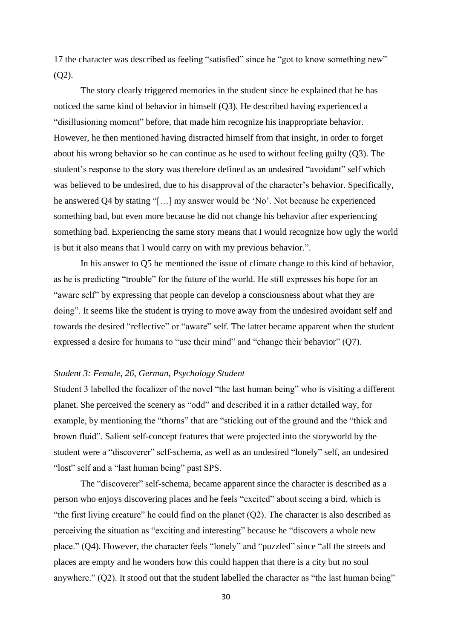17 the character was described as feeling "satisfied" since he "got to know something new"  $(O2)$ .

The story clearly triggered memories in the student since he explained that he has noticed the same kind of behavior in himself (Q3). He described having experienced a "disillusioning moment" before, that made him recognize his inappropriate behavior. However, he then mentioned having distracted himself from that insight, in order to forget about his wrong behavior so he can continue as he used to without feeling guilty (Q3). The student's response to the story was therefore defined as an undesired "avoidant" self which was believed to be undesired, due to his disapproval of the character's behavior. Specifically, he answered Q4 by stating "[…] my answer would be 'No'. Not because he experienced something bad, but even more because he did not change his behavior after experiencing something bad. Experiencing the same story means that I would recognize how ugly the world is but it also means that I would carry on with my previous behavior.".

In his answer to Q5 he mentioned the issue of climate change to this kind of behavior, as he is predicting "trouble" for the future of the world. He still expresses his hope for an "aware self" by expressing that people can develop a consciousness about what they are doing". It seems like the student is trying to move away from the undesired avoidant self and towards the desired "reflective" or "aware" self. The latter became apparent when the student expressed a desire for humans to "use their mind" and "change their behavior" (Q7).

## *Student 3: Female, 26, German, Psychology Student*

Student 3 labelled the focalizer of the novel "the last human being" who is visiting a different planet. She perceived the scenery as "odd" and described it in a rather detailed way, for example, by mentioning the "thorns" that are "sticking out of the ground and the "thick and brown fluid". Salient self-concept features that were projected into the storyworld by the student were a "discoverer" self-schema, as well as an undesired "lonely" self, an undesired "lost" self and a "last human being" past SPS.

The "discoverer" self-schema, became apparent since the character is described as a person who enjoys discovering places and he feels "excited" about seeing a bird, which is "the first living creature" he could find on the planet  $(Q2)$ . The character is also described as perceiving the situation as "exciting and interesting" because he "discovers a whole new place." (Q4). However, the character feels "lonely" and "puzzled" since "all the streets and places are empty and he wonders how this could happen that there is a city but no soul anywhere." (Q2). It stood out that the student labelled the character as "the last human being"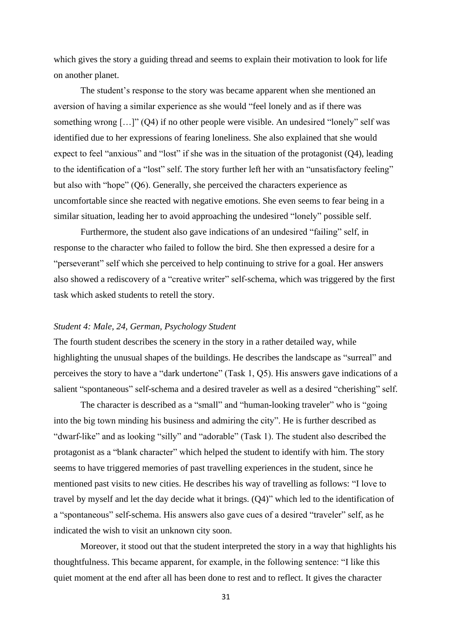which gives the story a guiding thread and seems to explain their motivation to look for life on another planet.

The student's response to the story was became apparent when she mentioned an aversion of having a similar experience as she would "feel lonely and as if there was something wrong […]" (Q4) if no other people were visible. An undesired "lonely" self was identified due to her expressions of fearing loneliness. She also explained that she would expect to feel "anxious" and "lost" if she was in the situation of the protagonist (Q4), leading to the identification of a "lost" self. The story further left her with an "unsatisfactory feeling" but also with "hope" (Q6). Generally, she perceived the characters experience as uncomfortable since she reacted with negative emotions. She even seems to fear being in a similar situation, leading her to avoid approaching the undesired "lonely" possible self.

Furthermore, the student also gave indications of an undesired "failing" self, in response to the character who failed to follow the bird. She then expressed a desire for a "perseverant" self which she perceived to help continuing to strive for a goal. Her answers also showed a rediscovery of a "creative writer" self-schema, which was triggered by the first task which asked students to retell the story.

#### *Student 4: Male, 24, German, Psychology Student*

The fourth student describes the scenery in the story in a rather detailed way, while highlighting the unusual shapes of the buildings. He describes the landscape as "surreal" and perceives the story to have a "dark undertone" (Task 1, Q5). His answers gave indications of a salient "spontaneous" self-schema and a desired traveler as well as a desired "cherishing" self.

The character is described as a "small" and "human-looking traveler" who is "going into the big town minding his business and admiring the city". He is further described as "dwarf-like" and as looking "silly" and "adorable" (Task 1). The student also described the protagonist as a "blank character" which helped the student to identify with him. The story seems to have triggered memories of past travelling experiences in the student, since he mentioned past visits to new cities. He describes his way of travelling as follows: "I love to travel by myself and let the day decide what it brings. (Q4)" which led to the identification of a "spontaneous" self-schema. His answers also gave cues of a desired "traveler" self, as he indicated the wish to visit an unknown city soon.

Moreover, it stood out that the student interpreted the story in a way that highlights his thoughtfulness. This became apparent, for example, in the following sentence: "I like this quiet moment at the end after all has been done to rest and to reflect. It gives the character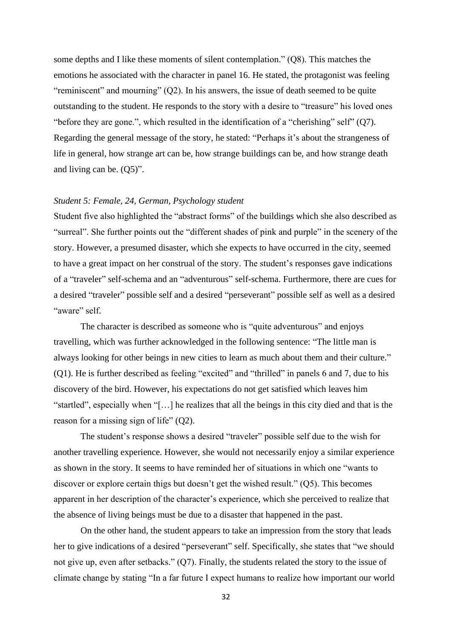some depths and I like these moments of silent contemplation." (Q8). This matches the emotions he associated with the character in panel 16. He stated, the protagonist was feeling "reminiscent" and mourning" (Q2). In his answers, the issue of death seemed to be quite outstanding to the student. He responds to the story with a desire to "treasure" his loved ones "before they are gone.", which resulted in the identification of a "cherishing" self" (Q7). Regarding the general message of the story, he stated: "Perhaps it's about the strangeness of life in general, how strange art can be, how strange buildings can be, and how strange death and living can be. (Q5)".

### *Student 5: Female, 24, German, Psychology student*

Student five also highlighted the "abstract forms" of the buildings which she also described as "surreal". She further points out the "different shades of pink and purple" in the scenery of the story. However, a presumed disaster, which she expects to have occurred in the city, seemed to have a great impact on her construal of the story. The student's responses gave indications of a "traveler" self-schema and an "adventurous" self-schema. Furthermore, there are cues for a desired "traveler" possible self and a desired "perseverant" possible self as well as a desired "aware" self.

The character is described as someone who is "quite adventurous" and enjoys travelling, which was further acknowledged in the following sentence: "The little man is always looking for other beings in new cities to learn as much about them and their culture." (Q1). He is further described as feeling "excited" and "thrilled" in panels 6 and 7, due to his discovery of the bird. However, his expectations do not get satisfied which leaves him "startled", especially when "[…] he realizes that all the beings in this city died and that is the reason for a missing sign of life" (Q2).

The student's response shows a desired "traveler" possible self due to the wish for another travelling experience. However, she would not necessarily enjoy a similar experience as shown in the story. It seems to have reminded her of situations in which one "wants to discover or explore certain thigs but doesn't get the wished result." (Q5). This becomes apparent in her description of the character's experience, which she perceived to realize that the absence of living beings must be due to a disaster that happened in the past.

On the other hand, the student appears to take an impression from the story that leads her to give indications of a desired "perseverant" self. Specifically, she states that "we should not give up, even after setbacks." (Q7). Finally, the students related the story to the issue of climate change by stating "In a far future I expect humans to realize how important our world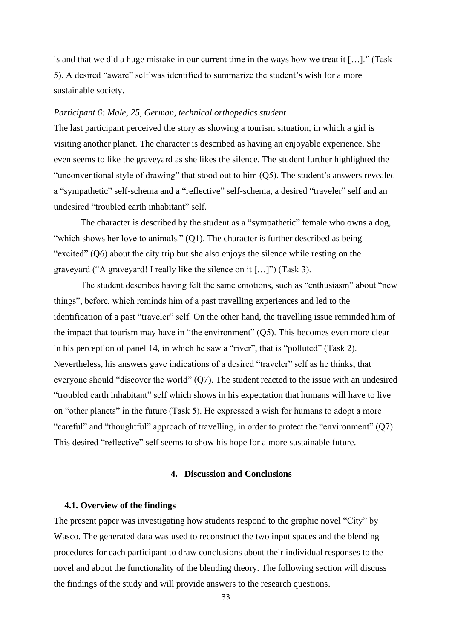is and that we did a huge mistake in our current time in the ways how we treat it […]." (Task 5). A desired "aware" self was identified to summarize the student's wish for a more sustainable society.

### *Participant 6: Male, 25, German, technical orthopedics student*

The last participant perceived the story as showing a tourism situation, in which a girl is visiting another planet. The character is described as having an enjoyable experience. She even seems to like the graveyard as she likes the silence. The student further highlighted the "unconventional style of drawing" that stood out to him (Q5). The student's answers revealed a "sympathetic" self-schema and a "reflective" self-schema, a desired "traveler" self and an undesired "troubled earth inhabitant" self.

The character is described by the student as a "sympathetic" female who owns a dog, "which shows her love to animals." (Q1). The character is further described as being "excited" (Q6) about the city trip but she also enjoys the silence while resting on the graveyard ("A graveyard! I really like the silence on it […]") (Task 3).

The student describes having felt the same emotions, such as "enthusiasm" about "new things", before, which reminds him of a past travelling experiences and led to the identification of a past "traveler" self. On the other hand, the travelling issue reminded him of the impact that tourism may have in "the environment" (Q5). This becomes even more clear in his perception of panel 14, in which he saw a "river", that is "polluted" (Task 2). Nevertheless, his answers gave indications of a desired "traveler" self as he thinks, that everyone should "discover the world" (Q7). The student reacted to the issue with an undesired "troubled earth inhabitant" self which shows in his expectation that humans will have to live on "other planets" in the future (Task 5). He expressed a wish for humans to adopt a more "careful" and "thoughtful" approach of travelling, in order to protect the "environment" (Q7). This desired "reflective" self seems to show his hope for a more sustainable future.

### **4. Discussion and Conclusions**

#### **4.1. Overview of the findings**

The present paper was investigating how students respond to the graphic novel "City" by Wasco. The generated data was used to reconstruct the two input spaces and the blending procedures for each participant to draw conclusions about their individual responses to the novel and about the functionality of the blending theory. The following section will discuss the findings of the study and will provide answers to the research questions.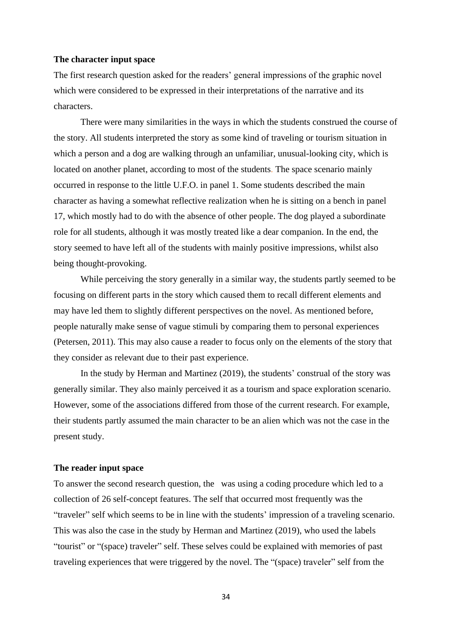#### **The character input space**

The first research question asked for the readers' general impressions of the graphic novel which were considered to be expressed in their interpretations of the narrative and its characters.

There were many similarities in the ways in which the students construed the course of the story. All students interpreted the story as some kind of traveling or tourism situation in which a person and a dog are walking through an unfamiliar, unusual-looking city, which is located on another planet, according to most of the students. The space scenario mainly occurred in response to the little U.F.O. in panel 1. Some students described the main character as having a somewhat reflective realization when he is sitting on a bench in panel 17, which mostly had to do with the absence of other people. The dog played a subordinate role for all students, although it was mostly treated like a dear companion. In the end, the story seemed to have left all of the students with mainly positive impressions, whilst also being thought-provoking.

While perceiving the story generally in a similar way, the students partly seemed to be focusing on different parts in the story which caused them to recall different elements and may have led them to slightly different perspectives on the novel. As mentioned before, people naturally make sense of vague stimuli by comparing them to personal experiences (Petersen, 2011). This may also cause a reader to focus only on the elements of the story that they consider as relevant due to their past experience.

In the study by Herman and Martinez (2019), the students' construal of the story was generally similar. They also mainly perceived it as a tourism and space exploration scenario. However, some of the associations differed from those of the current research. For example, their students partly assumed the main character to be an alien which was not the case in the present study.

#### **The reader input space**

To answer the second research question, the was using a coding procedure which led to a collection of 26 self-concept features. The self that occurred most frequently was the "traveler" self which seems to be in line with the students' impression of a traveling scenario. This was also the case in the study by Herman and Martinez (2019), who used the labels "tourist" or "(space) traveler" self. These selves could be explained with memories of past traveling experiences that were triggered by the novel. The "(space) traveler" self from the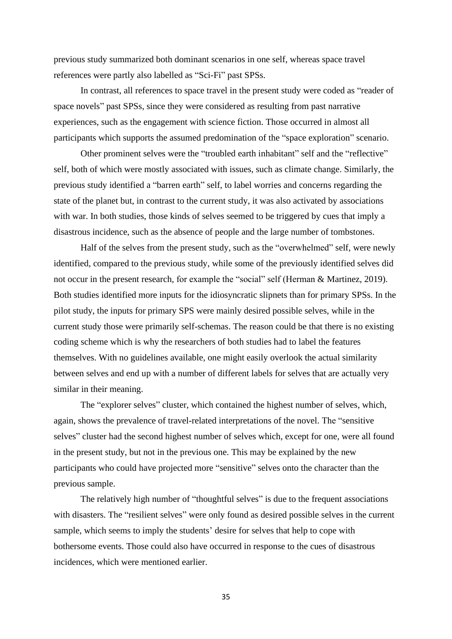previous study summarized both dominant scenarios in one self, whereas space travel references were partly also labelled as "Sci-Fi" past SPSs.

In contrast, all references to space travel in the present study were coded as "reader of space novels" past SPSs, since they were considered as resulting from past narrative experiences, such as the engagement with science fiction. Those occurred in almost all participants which supports the assumed predomination of the "space exploration" scenario.

Other prominent selves were the "troubled earth inhabitant" self and the "reflective" self, both of which were mostly associated with issues, such as climate change. Similarly, the previous study identified a "barren earth" self, to label worries and concerns regarding the state of the planet but, in contrast to the current study, it was also activated by associations with war. In both studies, those kinds of selves seemed to be triggered by cues that imply a disastrous incidence, such as the absence of people and the large number of tombstones.

Half of the selves from the present study, such as the "overwhelmed" self, were newly identified, compared to the previous study, while some of the previously identified selves did not occur in the present research, for example the "social" self (Herman & Martinez, 2019). Both studies identified more inputs for the idiosyncratic slipnets than for primary SPSs. In the pilot study, the inputs for primary SPS were mainly desired possible selves, while in the current study those were primarily self-schemas. The reason could be that there is no existing coding scheme which is why the researchers of both studies had to label the features themselves. With no guidelines available, one might easily overlook the actual similarity between selves and end up with a number of different labels for selves that are actually very similar in their meaning.

The "explorer selves" cluster, which contained the highest number of selves, which, again, shows the prevalence of travel-related interpretations of the novel. The "sensitive selves" cluster had the second highest number of selves which, except for one, were all found in the present study, but not in the previous one. This may be explained by the new participants who could have projected more "sensitive" selves onto the character than the previous sample.

The relatively high number of "thoughtful selves" is due to the frequent associations with disasters. The "resilient selves" were only found as desired possible selves in the current sample, which seems to imply the students' desire for selves that help to cope with bothersome events. Those could also have occurred in response to the cues of disastrous incidences, which were mentioned earlier.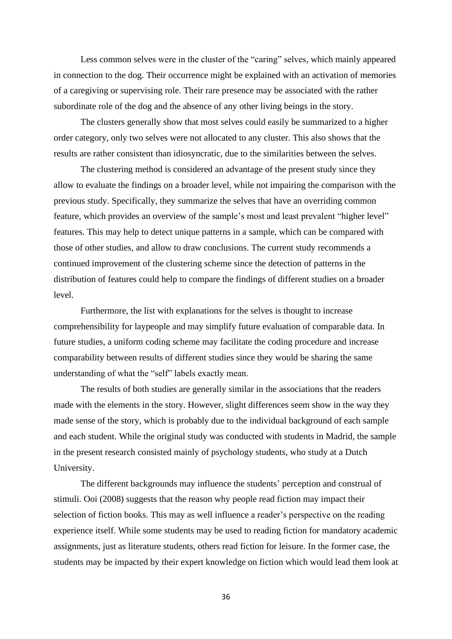Less common selves were in the cluster of the "caring" selves, which mainly appeared in connection to the dog. Their occurrence might be explained with an activation of memories of a caregiving or supervising role. Their rare presence may be associated with the rather subordinate role of the dog and the absence of any other living beings in the story.

The clusters generally show that most selves could easily be summarized to a higher order category, only two selves were not allocated to any cluster. This also shows that the results are rather consistent than idiosyncratic, due to the similarities between the selves.

The clustering method is considered an advantage of the present study since they allow to evaluate the findings on a broader level, while not impairing the comparison with the previous study. Specifically, they summarize the selves that have an overriding common feature, which provides an overview of the sample's most and least prevalent "higher level" features. This may help to detect unique patterns in a sample, which can be compared with those of other studies, and allow to draw conclusions. The current study recommends a continued improvement of the clustering scheme since the detection of patterns in the distribution of features could help to compare the findings of different studies on a broader level.

Furthermore, the list with explanations for the selves is thought to increase comprehensibility for laypeople and may simplify future evaluation of comparable data. In future studies, a uniform coding scheme may facilitate the coding procedure and increase comparability between results of different studies since they would be sharing the same understanding of what the "self" labels exactly mean.

The results of both studies are generally similar in the associations that the readers made with the elements in the story. However, slight differences seem show in the way they made sense of the story, which is probably due to the individual background of each sample and each student. While the original study was conducted with students in Madrid, the sample in the present research consisted mainly of psychology students, who study at a Dutch University.

The different backgrounds may influence the students' perception and construal of stimuli. Ooi (2008) suggests that the reason why people read fiction may impact their selection of fiction books. This may as well influence a reader's perspective on the reading experience itself. While some students may be used to reading fiction for mandatory academic assignments, just as literature students, others read fiction for leisure. In the former case, the students may be impacted by their expert knowledge on fiction which would lead them look at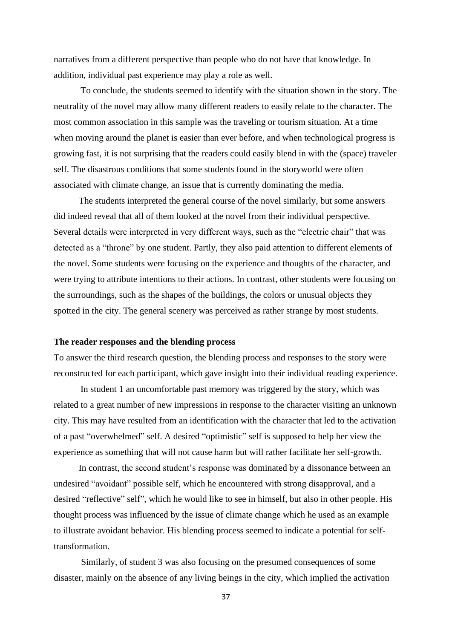narratives from a different perspective than people who do not have that knowledge. In addition, individual past experience may play a role as well.

To conclude, the students seemed to identify with the situation shown in the story. The neutrality of the novel may allow many different readers to easily relate to the character. The most common association in this sample was the traveling or tourism situation. At a time when moving around the planet is easier than ever before, and when technological progress is growing fast, it is not surprising that the readers could easily blend in with the (space) traveler self. The disastrous conditions that some students found in the storyworld were often associated with climate change, an issue that is currently dominating the media.

 The students interpreted the general course of the novel similarly, but some answers did indeed reveal that all of them looked at the novel from their individual perspective. Several details were interpreted in very different ways, such as the "electric chair" that was detected as a "throne" by one student. Partly, they also paid attention to different elements of the novel. Some students were focusing on the experience and thoughts of the character, and were trying to attribute intentions to their actions. In contrast, other students were focusing on the surroundings, such as the shapes of the buildings, the colors or unusual objects they spotted in the city. The general scenery was perceived as rather strange by most students.

# **The reader responses and the blending process**

To answer the third research question, the blending process and responses to the story were reconstructed for each participant, which gave insight into their individual reading experience.

In student 1 an uncomfortable past memory was triggered by the story, which was related to a great number of new impressions in response to the character visiting an unknown city. This may have resulted from an identification with the character that led to the activation of a past "overwhelmed" self. A desired "optimistic" self is supposed to help her view the experience as something that will not cause harm but will rather facilitate her self-growth.

 In contrast, the second student's response was dominated by a dissonance between an undesired "avoidant" possible self, which he encountered with strong disapproval, and a desired "reflective" self", which he would like to see in himself, but also in other people. His thought process was influenced by the issue of climate change which he used as an example to illustrate avoidant behavior. His blending process seemed to indicate a potential for selftransformation.

 Similarly, of student 3 was also focusing on the presumed consequences of some disaster, mainly on the absence of any living beings in the city, which implied the activation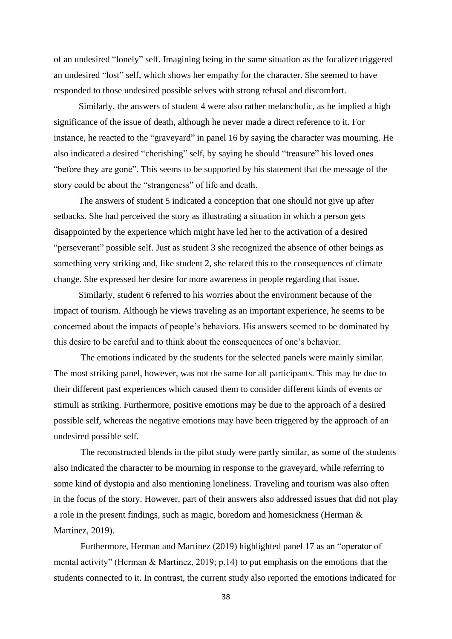of an undesired "lonely" self. Imagining being in the same situation as the focalizer triggered an undesired "lost" self, which shows her empathy for the character. She seemed to have responded to those undesired possible selves with strong refusal and discomfort.

 Similarly, the answers of student 4 were also rather melancholic, as he implied a high significance of the issue of death, although he never made a direct reference to it. For instance, he reacted to the "graveyard" in panel 16 by saying the character was mourning. He also indicated a desired "cherishing" self, by saying he should "treasure" his loved ones "before they are gone". This seems to be supported by his statement that the message of the story could be about the "strangeness" of life and death.

 The answers of student 5 indicated a conception that one should not give up after setbacks. She had perceived the story as illustrating a situation in which a person gets disappointed by the experience which might have led her to the activation of a desired "perseverant" possible self. Just as student 3 she recognized the absence of other beings as something very striking and, like student 2, she related this to the consequences of climate change. She expressed her desire for more awareness in people regarding that issue.

 Similarly, student 6 referred to his worries about the environment because of the impact of tourism. Although he views traveling as an important experience, he seems to be concerned about the impacts of people's behaviors. His answers seemed to be dominated by this desire to be careful and to think about the consequences of one's behavior.

The emotions indicated by the students for the selected panels were mainly similar. The most striking panel, however, was not the same for all participants. This may be due to their different past experiences which caused them to consider different kinds of events or stimuli as striking. Furthermore, positive emotions may be due to the approach of a desired possible self, whereas the negative emotions may have been triggered by the approach of an undesired possible self.

The reconstructed blends in the pilot study were partly similar, as some of the students also indicated the character to be mourning in response to the graveyard, while referring to some kind of dystopia and also mentioning loneliness. Traveling and tourism was also often in the focus of the story. However, part of their answers also addressed issues that did not play a role in the present findings, such as magic, boredom and homesickness (Herman & Martinez, 2019).

Furthermore, Herman and Martinez (2019) highlighted panel 17 as an "operator of mental activity" (Herman & Martinez, 2019; p.14) to put emphasis on the emotions that the students connected to it. In contrast, the current study also reported the emotions indicated for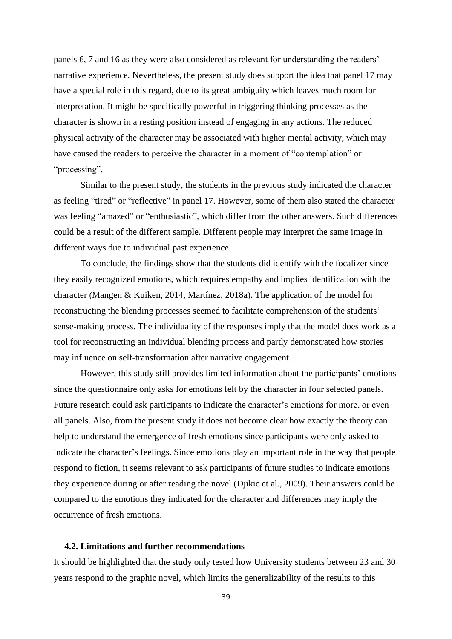panels 6, 7 and 16 as they were also considered as relevant for understanding the readers' narrative experience. Nevertheless, the present study does support the idea that panel 17 may have a special role in this regard, due to its great ambiguity which leaves much room for interpretation. It might be specifically powerful in triggering thinking processes as the character is shown in a resting position instead of engaging in any actions. The reduced physical activity of the character may be associated with higher mental activity, which may have caused the readers to perceive the character in a moment of "contemplation" or "processing".

Similar to the present study, the students in the previous study indicated the character as feeling "tired" or "reflective" in panel 17. However, some of them also stated the character was feeling "amazed" or "enthusiastic", which differ from the other answers. Such differences could be a result of the different sample. Different people may interpret the same image in different ways due to individual past experience.

To conclude, the findings show that the students did identify with the focalizer since they easily recognized emotions, which requires empathy and implies identification with the character (Mangen & Kuiken, 2014, Martínez, 2018a). The application of the model for reconstructing the blending processes seemed to facilitate comprehension of the students' sense-making process. The individuality of the responses imply that the model does work as a tool for reconstructing an individual blending process and partly demonstrated how stories may influence on self-transformation after narrative engagement.

However, this study still provides limited information about the participants' emotions since the questionnaire only asks for emotions felt by the character in four selected panels. Future research could ask participants to indicate the character's emotions for more, or even all panels. Also, from the present study it does not become clear how exactly the theory can help to understand the emergence of fresh emotions since participants were only asked to indicate the character's feelings. Since emotions play an important role in the way that people respond to fiction, it seems relevant to ask participants of future studies to indicate emotions they experience during or after reading the novel (Djikic et al., 2009). Their answers could be compared to the emotions they indicated for the character and differences may imply the occurrence of fresh emotions.

# **4.2. Limitations and further recommendations**

It should be highlighted that the study only tested how University students between 23 and 30 years respond to the graphic novel, which limits the generalizability of the results to this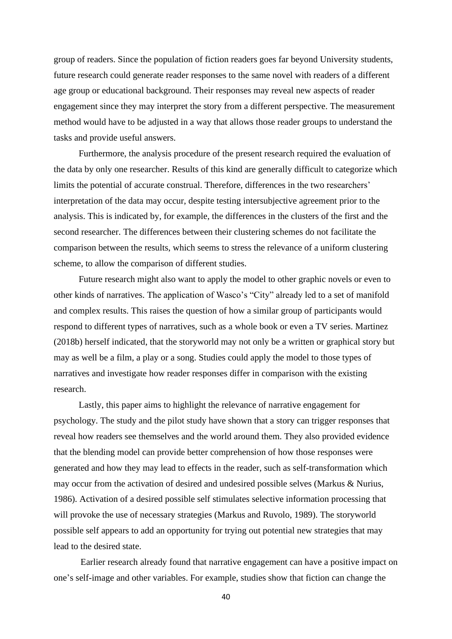group of readers. Since the population of fiction readers goes far beyond University students, future research could generate reader responses to the same novel with readers of a different age group or educational background. Their responses may reveal new aspects of reader engagement since they may interpret the story from a different perspective. The measurement method would have to be adjusted in a way that allows those reader groups to understand the tasks and provide useful answers.

 Furthermore, the analysis procedure of the present research required the evaluation of the data by only one researcher. Results of this kind are generally difficult to categorize which limits the potential of accurate construal. Therefore, differences in the two researchers' interpretation of the data may occur, despite testing intersubjective agreement prior to the analysis. This is indicated by, for example, the differences in the clusters of the first and the second researcher. The differences between their clustering schemes do not facilitate the comparison between the results, which seems to stress the relevance of a uniform clustering scheme, to allow the comparison of different studies.

 Future research might also want to apply the model to other graphic novels or even to other kinds of narratives. The application of Wasco's "City" already led to a set of manifold and complex results. This raises the question of how a similar group of participants would respond to different types of narratives, such as a whole book or even a TV series. Martinez (2018b) herself indicated, that the storyworld may not only be a written or graphical story but may as well be a film, a play or a song. Studies could apply the model to those types of narratives and investigate how reader responses differ in comparison with the existing research.

 Lastly, this paper aims to highlight the relevance of narrative engagement for psychology. The study and the pilot study have shown that a story can trigger responses that reveal how readers see themselves and the world around them. They also provided evidence that the blending model can provide better comprehension of how those responses were generated and how they may lead to effects in the reader, such as self-transformation which may occur from the activation of desired and undesired possible selves (Markus & Nurius, 1986). Activation of a desired possible self stimulates selective information processing that will provoke the use of necessary strategies (Markus and Ruvolo, 1989). The storyworld possible self appears to add an opportunity for trying out potential new strategies that may lead to the desired state.

Earlier research already found that narrative engagement can have a positive impact on one's self-image and other variables. For example, studies show that fiction can change the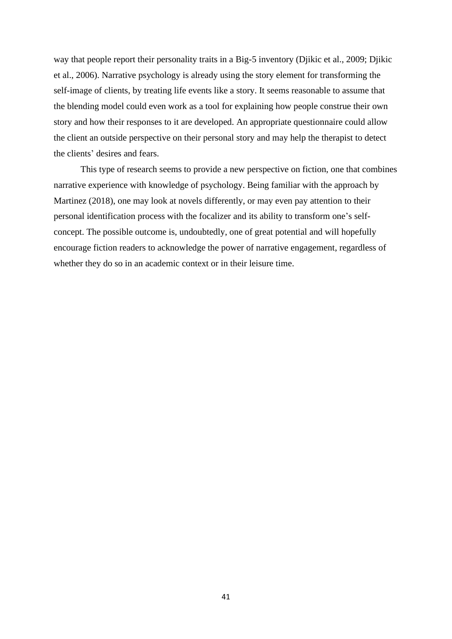way that people report their personality traits in a Big-5 inventory (Djikic et al., 2009; Djikic et al., 2006). Narrative psychology is already using the story element for transforming the self-image of clients, by treating life events like a story. It seems reasonable to assume that the blending model could even work as a tool for explaining how people construe their own story and how their responses to it are developed. An appropriate questionnaire could allow the client an outside perspective on their personal story and may help the therapist to detect the clients' desires and fears.

This type of research seems to provide a new perspective on fiction, one that combines narrative experience with knowledge of psychology. Being familiar with the approach by Martinez (2018), one may look at novels differently, or may even pay attention to their personal identification process with the focalizer and its ability to transform one's selfconcept. The possible outcome is, undoubtedly, one of great potential and will hopefully encourage fiction readers to acknowledge the power of narrative engagement, regardless of whether they do so in an academic context or in their leisure time.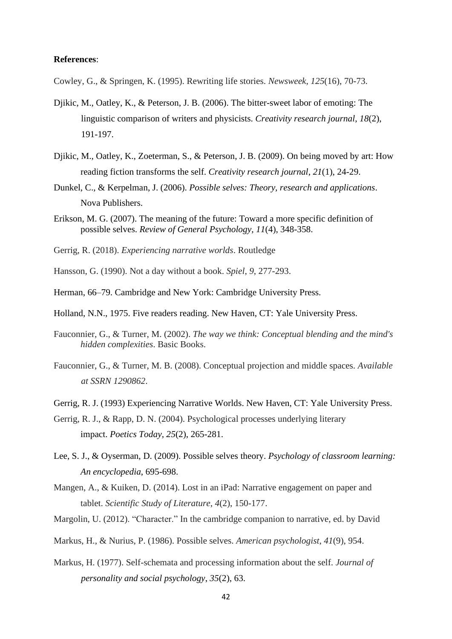# **References**:

Cowley, G., & Springen, K. (1995). Rewriting life stories. *Newsweek*, *125*(16), 70-73.

- Djikic, M., Oatley, K., & Peterson, J. B. (2006). The bitter-sweet labor of emoting: The linguistic comparison of writers and physicists. *Creativity research journal*, *18*(2), 191-197.
- Djikic, M., Oatley, K., Zoeterman, S., & Peterson, J. B. (2009). On being moved by art: How reading fiction transforms the self. *Creativity research journal*, *21*(1), 24-29.
- Dunkel, C., & Kerpelman, J. (2006). *Possible selves: Theory, research and applications*. Nova Publishers.
- Erikson, M. G. (2007). The meaning of the future: Toward a more specific definition of possible selves. *Review of General Psychology*, *11*(4), 348-358.
- Gerrig, R. (2018). *Experiencing narrative worlds*. Routledge
- Hansson, G. (1990). Not a day without a book. *Spiel*, *9*, 277-293.
- Herman, 66–79. Cambridge and New York: Cambridge University Press.
- Holland, N.N., 1975. Five readers reading. New Haven, CT: Yale University Press.
- Fauconnier, G., & Turner, M. (2002). *The way we think: Conceptual blending and the mind's hidden complexities*. Basic Books.
- Fauconnier, G., & Turner, M. B. (2008). Conceptual projection and middle spaces. *Available at SSRN 1290862*.
- Gerrig, R. J. (1993) Experiencing Narrative Worlds. New Haven, CT: Yale University Press.
- Gerrig, R. J., & Rapp, D. N. (2004). Psychological processes underlying literary impact. *Poetics Today*, *25*(2), 265-281.
- Lee, S. J., & Oyserman, D. (2009). Possible selves theory. *Psychology of classroom learning: An encyclopedia*, 695-698.
- Mangen, A., & Kuiken, D. (2014). Lost in an iPad: Narrative engagement on paper and tablet. *Scientific Study of Literature*, *4*(2), 150-177.
- Margolin, U. (2012). "Character." In the cambridge companion to narrative, ed. by David
- Markus, H., & Nurius, P. (1986). Possible selves. *American psychologist*, *41*(9), 954.
- Markus, H. (1977). Self-schemata and processing information about the self. *Journal of personality and social psychology*, *35*(2), 63.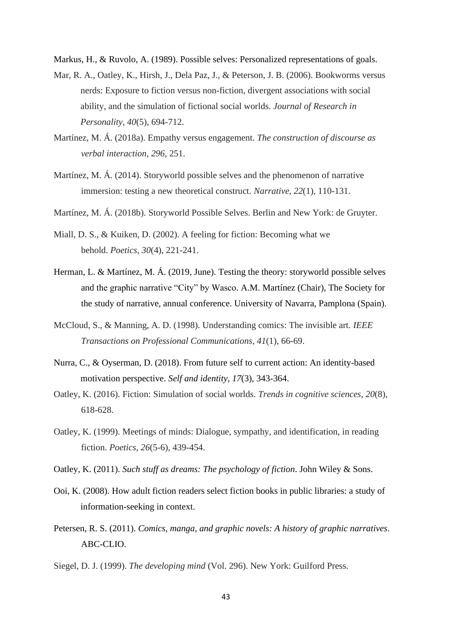Markus, H., & Ruvolo, A. (1989). Possible selves: Personalized representations of goals.

- Mar, R. A., Oatley, K., Hirsh, J., Dela Paz, J., & Peterson, J. B. (2006). Bookworms versus nerds: Exposure to fiction versus non-fiction, divergent associations with social ability, and the simulation of fictional social worlds. *Journal of Research in Personality*, *40*(5), 694-712.
- Martínez, M. Á. (2018a). Empathy versus engagement. *The construction of discourse as verbal interaction*, *296*, 251.
- Martínez, M. Á. (2014). Storyworld possible selves and the phenomenon of narrative immersion: testing a new theoretical construct. *Narrative*, *22*(1), 110-131.
- Martínez, M. Á. (2018b). Storyworld Possible Selves. Berlin and New York: de Gruyter.
- Miall, D. S., & Kuiken, D. (2002). A feeling for fiction: Becoming what we behold. *Poetics*, *30*(4), 221-241.
- Herman, L. & Martínez, M. Á. (2019, June). Testing the theory: storyworld possible selves and the graphic narrative "City" by Wasco. A.M. Martínez (Chair), The Society for the study of narrative, annual conference. University of Navarra, Pamplona (Spain).
- McCloud, S., & Manning, A. D. (1998). Understanding comics: The invisible art. *IEEE Transactions on Professional Communications*, *41*(1), 66-69.
- Nurra, C., & Oyserman, D. (2018). From future self to current action: An identity-based motivation perspective. *Self and identity*, *17*(3), 343-364.
- Oatley, K. (2016). Fiction: Simulation of social worlds. *Trends in cognitive sciences*, *20*(8), 618-628.
- Oatley, K. (1999). Meetings of minds: Dialogue, sympathy, and identification, in reading fiction. *Poetics*, *26*(5-6), 439-454.
- Oatley, K. (2011). *Such stuff as dreams: The psychology of fiction*. John Wiley & Sons.
- Ooi, K. (2008). How adult fiction readers select fiction books in public libraries: a study of information-seeking in context.
- Petersen, R. S. (2011). *Comics, manga, and graphic novels: A history of graphic narratives*. ABC-CLIO.
- Siegel, D. J. (1999). *The developing mind* (Vol. 296). New York: Guilford Press.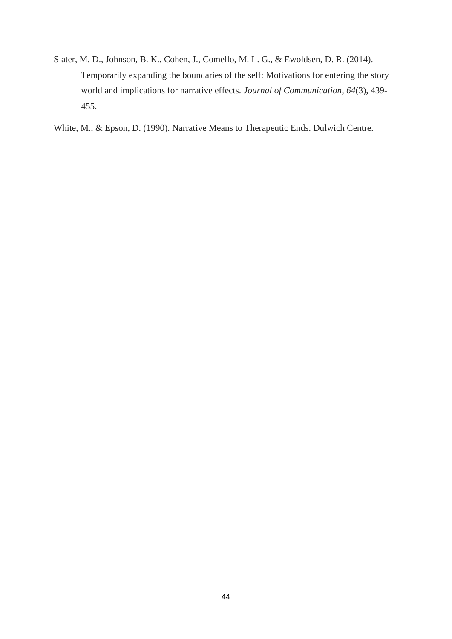- Slater, M. D., Johnson, B. K., Cohen, J., Comello, M. L. G., & Ewoldsen, D. R. (2014). Temporarily expanding the boundaries of the self: Motivations for entering the story world and implications for narrative effects. *Journal of Communication*, *64*(3), 439- 455.
- White, M., & Epson, D. (1990). Narrative Means to Therapeutic Ends. Dulwich Centre.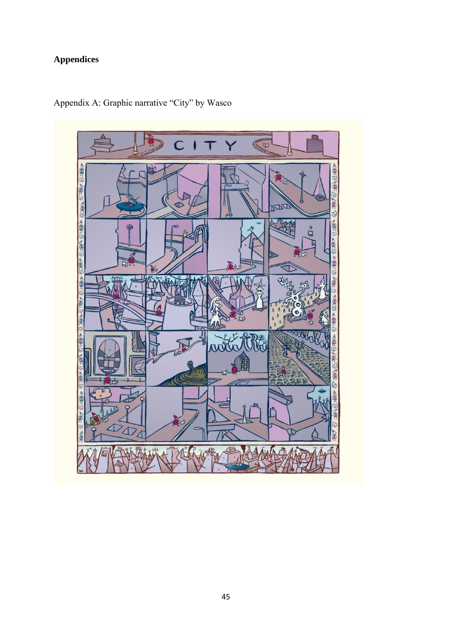# **Appendices**



Appendix A: Graphic narrative "City" by Wasco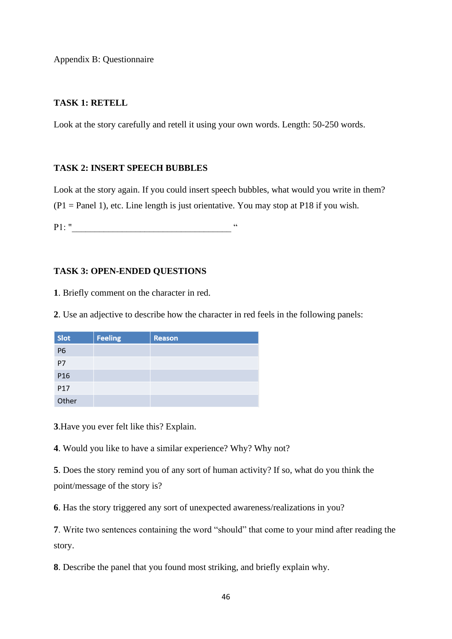Appendix B: Questionnaire

# **TASK 1: RETELL**

Look at the story carefully and retell it using your own words. Length: 50-250 words.

# **TASK 2: INSERT SPEECH BUBBLES**

Look at the story again. If you could insert speech bubbles, what would you write in them?  $(P1 = Panel 1)$ , etc. Line length is just orientative. You may stop at P18 if you wish.

P1: "

# **TASK 3: OPEN-ENDED QUESTIONS**

**1**. Briefly comment on the character in red.

**2**. Use an adjective to describe how the character in red feels in the following panels:

| Slot      | <b>Feeling</b> | <b>Reason</b> |
|-----------|----------------|---------------|
| <b>P6</b> |                |               |
| P7        |                |               |
| P16       |                |               |
| P17       |                |               |
| Other     |                |               |

**3**.Have you ever felt like this? Explain.

**4**. Would you like to have a similar experience? Why? Why not?

**5**. Does the story remind you of any sort of human activity? If so, what do you think the point/message of the story is?

**6**. Has the story triggered any sort of unexpected awareness/realizations in you?

**7**. Write two sentences containing the word "should" that come to your mind after reading the story.

**8**. Describe the panel that you found most striking, and briefly explain why.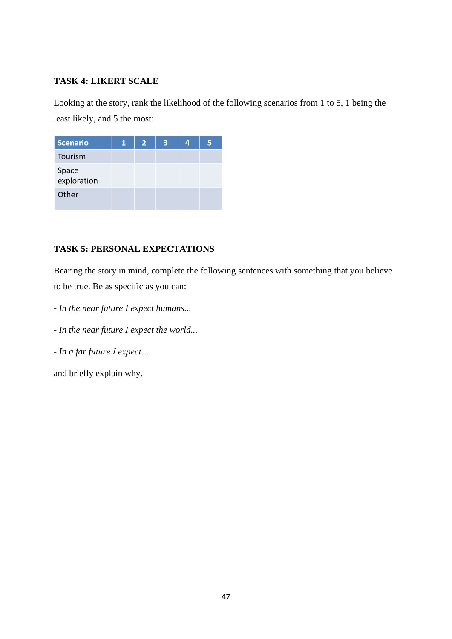# **TASK 4: LIKERT SCALE**

Looking at the story, rank the likelihood of the following scenarios from 1 to 5, 1 being the least likely, and 5 the most:

| <b>Scenario</b>      | 1 | $\overline{2}$ | 3 | 4! | 5 |
|----------------------|---|----------------|---|----|---|
| Tourism              |   |                |   |    |   |
| Space<br>exploration |   |                |   |    |   |
| Other                |   |                |   |    |   |

# **TASK 5: PERSONAL EXPECTATIONS**

Bearing the story in mind, complete the following sentences with something that you believe to be true. Be as specific as you can:

- *- In the near future I expect humans...*
- *- In the near future I expect the world...*
- *- In a far future I expect…*

and briefly explain why.